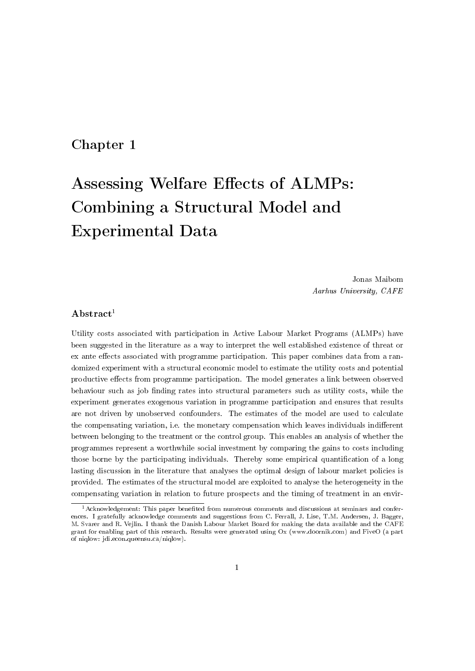# Chapter 1

# Assessing Welfare Effects of ALMPs: Combining a Structural Model and Experimental Data

Jonas Maibom Aarhus University, CAFE

# $A$ bstract<sup>1</sup>

Utility costs associated with participation in Active Labour Market Programs (ALMPs) have been suggested in the literature as a way to interpret the well established existence of threat or ex ante effects associated with programme participation. This paper combines data from a randomized experiment with a structural economic model to estimate the utility costs and potential productive effects from programme participation. The model generates a link between observed behaviour such as job finding rates into structural parameters such as utility costs, while the experiment generates exogenous variation in programme participation and ensures that results are not driven by unobserved confounders. The estimates of the model are used to calculate the compensating variation, i.e. the monetary compensation which leaves individuals indifferent between belonging to the treatment or the control group. This enables an analysis of whether the programmes represent a worthwhile social investment by comparing the gains to costs including those borne by the participating individuals. Thereby some empirical quantification of a long lasting discussion in the literature that analyses the optimal design of labour market policies is provided. The estimates of the structural model are exploited to analyse the heterogeneity in the compensating variation in relation to future prospects and the timing of treatment in an envir-

 $1$ Acknowledgement: This paper benefited from numerous comments and discussions at seminars and conferences. I gratefully acknowledge comments and suggestions from C. Ferrall, J. Lise, T.M. Andersen, J. Bagger, M. Svarer and R. Vejlin. I thank the Danish Labour Market Board for making the data available and the CAFE grant for enabling part of this research. Results were generated using Ox (www.doornik.com) and FiveO (a part of niqlow: jdi.econ.queensu.ca/niqlow).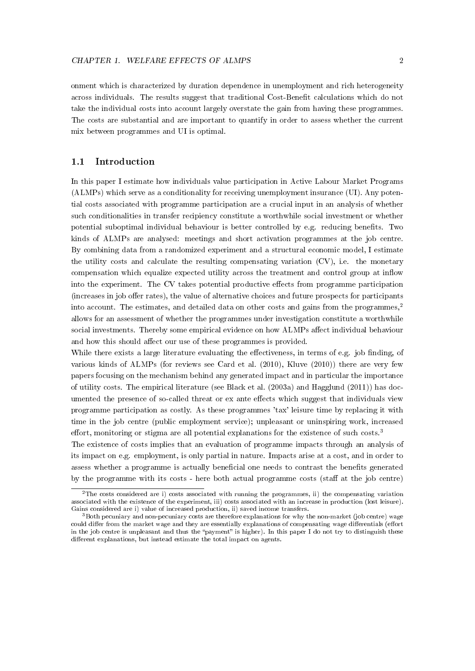onment which is characterized by duration dependence in unemployment and rich heterogeneity across individuals. The results suggest that traditional Cost-Benefit calculations which do not take the individual costs into account largely overstate the gain from having these programmes. The costs are substantial and are important to quantify in order to assess whether the current mix between programmes and UI is optimal.

# 1.1 Introduction

In this paper I estimate how individuals value participation in Active Labour Market Programs (ALMPs) which serve as a conditionality for receiving unemployment insurance (UI). Any potential costs associated with programme participation are a crucial input in an analysis of whether such conditionalities in transfer recipiency constitute a worthwhile social investment or whether potential suboptimal individual behaviour is better controlled by e.g. reducing benets. Two kinds of ALMPs are analysed: meetings and short activation programmes at the job centre. By combining data from a randomized experiment and a structural economic model, I estimate the utility costs and calculate the resulting compensating variation (CV), i.e. the monetary compensation which equalize expected utility across the treatment and control group at inflow into the experiment. The CV takes potential productive effects from programme participation (increases in job offer rates), the value of alternative choices and future prospects for participants into account. The estimates, and detailed data on other costs and gains from the programmes,<sup>2</sup> allows for an assessment of whether the programmes under investigation constitute a worthwhile social investments. Thereby some empirical evidence on how ALMPs affect individual behaviour and how this should affect our use of these programmes is provided.

While there exists a large literature evaluating the effectiveness, in terms of e.g. job finding, of various kinds of ALMPs (for reviews see Card et al. (2010), Kluve (2010)) there are very few papers focusing on the mechanism behind any generated impact and in particular the importance of utility costs. The empirical literature (see Black et al. (2003a) and Hagglund (2011)) has documented the presence of so-called threat or ex ante effects which suggest that individuals view programme participation as costly. As these programmes 'tax' leisure time by replacing it with time in the job centre (public employment service); unpleasant or uninspiring work, increased effort, monitoring or stigma are all potential explanations for the existence of such costs.<sup>3</sup>

The existence of costs implies that an evaluation of programme impacts through an analysis of its impact on e.g. employment, is only partial in nature. Impacts arise at a cost, and in order to assess whether a programme is actually beneficial one needs to contrast the benefits generated by the programme with its costs - here both actual programme costs (staff at the job centre)

<sup>&</sup>lt;sup>2</sup>The costs considered are i) costs associated with running the programmes, ii) the compensating variation associated with the existence of the experiment, iii) costs associated with an increase in production (lost leisure). Gains considered are i) value of increased production, ii) saved income transfers.

<sup>&</sup>lt;sup>3</sup>Both pecuniary and non-pecuniary costs are therefore explanations for why the non-market (job centre) wage could differ from the market wage and they are essentially explanations of compensating wage differentials (effort in the job centre is unpleasant and thus the "payment" is higher). In this paper I do not try to distinguish these different explanations, but instead estimate the total impact on agents.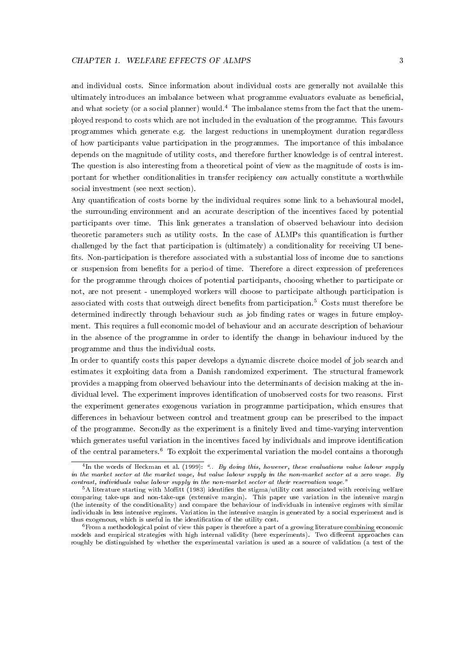and individual costs. Since information about individual costs are generally not available this ultimately introduces an imbalance between what programme evaluators evaluate as beneficial, and what society (or a social planner) would.<sup>4</sup> The imbalance stems from the fact that the unemployed respond to costs which are not included in the evaluation of the programme. This favours programmes which generate e.g. the largest reductions in unemployment duration regardless of how participants value participation in the programmes. The importance of this imbalance depends on the magnitude of utility costs, and therefore further knowledge is of central interest. The question is also interesting from a theoretical point of view as the magnitude of costs is important for whether conditionalities in transfer recipiency can actually constitute a worthwhile social investment (see next section).

Any quantification of costs borne by the individual requires some link to a behavioural model, the surrounding environment and an accurate description of the incentives faced by potential participants over time. This link generates a translation of observed behaviour into decision theoretic parameters such as utility costs. In the case of ALMPs this quantication is further challenged by the fact that participation is (ultimately) a conditionality for receiving UI bene fits. Non-participation is therefore associated with a substantial loss of income due to sanctions or suspension from benefits for a period of time. Therefore a direct expression of preferences for the programme through choices of potential participants, choosing whether to participate or not, are not present - unemployed workers will choose to participate although participation is associated with costs that outweigh direct benets from participation.<sup>5</sup> Costs must therefore be determined indirectly through behaviour such as job finding rates or wages in future employment. This requires a full economic model of behaviour and an accurate description of behaviour in the absence of the programme in order to identify the change in behaviour induced by the programme and thus the individual costs.

In order to quantify costs this paper develops a dynamic discrete choice model of job search and estimates it exploiting data from a Danish randomized experiment. The structural framework provides a mapping from observed behaviour into the determinants of decision making at the individual level. The experiment improves identification of unobserved costs for two reasons. First the experiment generates exogenous variation in programme participation, which ensures that differences in behaviour between control and treatment group can be prescribed to the impact of the programme. Secondly as the experiment is a finitely lived and time-varying intervention which generates useful variation in the incentives faced by individuals and improve identification of the central parameters.<sup>6</sup> To exploit the experimental variation the model contains a thorough

 $^{4}$ In the words of Heckman et al. (1999): ".. By doing this, however, these evaluations value labour supply in the market sector at the market wage, but value labour supply in the non-market sector at a zero wage. By contrast, individuals value labour supply in the non-market sector at their reservation wage.

 $5A$  literature starting with Moffitt (1983) identifies the stigma/utility cost associated with receiving welfare comparing take-ups and non-take-ups (extensive margin). This paper use variation in the intensive margin (the intensity of the conditionality) and compare the behaviour of individuals in intensive regimes with similar individuals in less intensive regimes. Variation in the intensive margin is generated by a social experiment and is thus exogenous, which is useful in the identification of the utility cost.

<sup>6</sup>From a methodological point of view this paper is therefore a part of a growing literature combining economic models and empirical strategies with high internal validity (here experiments). Two different approaches can roughly be distinguished by whether the experimental variation is used as a source of validation (a test of the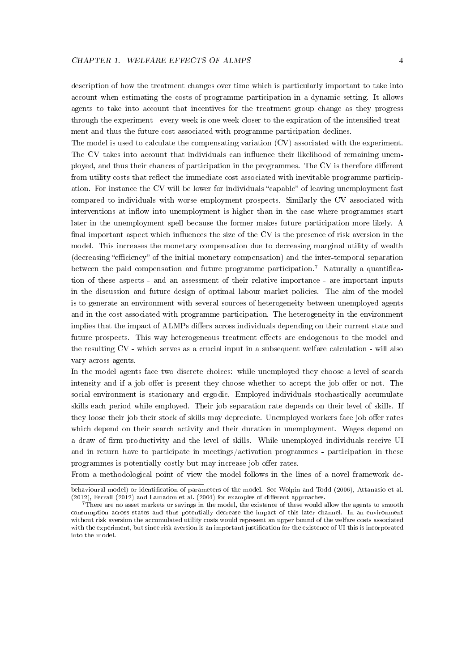description of how the treatment changes over time which is particularly important to take into account when estimating the costs of programme participation in a dynamic setting. It allows agents to take into account that incentives for the treatment group change as they progress through the experiment - every week is one week closer to the expiration of the intensified treatment and thus the future cost associated with programme participation declines.

The model is used to calculate the compensating variation (CV) associated with the experiment. The CV takes into account that individuals can influence their likelihood of remaining unemployed, and thus their chances of participation in the programmes. The CV is therefore different from utility costs that reflect the immediate cost associated with inevitable programme participation. For instance the CV will be lower for individuals "capable" of leaving unemployment fast compared to individuals with worse employment prospects. Similarly the CV associated with interventions at inflow into unemployment is higher than in the case where programmes start later in the unemployment spell because the former makes future participation more likely. A final important aspect which influences the size of the CV is the presence of risk aversion in the model. This increases the monetary compensation due to decreasing marginal utility of wealth (decreasing "efficiency" of the initial monetary compensation) and the inter-temporal separation between the paid compensation and future programme participation.<sup>7</sup> Naturally a quantication of these aspects - and an assessment of their relative importance - are important inputs in the discussion and future design of optimal labour market policies. The aim of the model is to generate an environment with several sources of heterogeneity between unemployed agents and in the cost associated with programme participation. The heterogeneity in the environment implies that the impact of ALMPs differs across individuals depending on their current state and future prospects. This way heterogeneous treatment effects are endogenous to the model and the resulting CV - which serves as a crucial input in a subsequent welfare calculation - will also vary across agents.

In the model agents face two discrete choices: while unemployed they choose a level of search intensity and if a job offer is present they choose whether to accept the job offer or not. The social environment is stationary and ergodic. Employed individuals stochastically accumulate skills each period while employed. Their job separation rate depends on their level of skills. If they loose their job their stock of skills may depreciate. Unemployed workers face job offer rates which depend on their search activity and their duration in unemployment. Wages depend on a draw of firm productivity and the level of skills. While unemployed individuals receive UI and in return have to participate in meetings/activation programmes - participation in these programmes is potentially costly but may increase job offer rates.

From a methodological point of view the model follows in the lines of a novel framework de-

behavioural model) or identification of parameters of the model. See Wolpin and Todd (2006), Attanasio et al.  $(2012)$ , Ferrall  $(2012)$  and Lamadon et al.  $(2004)$  for examples of different approaches.

<sup>7</sup>There are no asset markets or savings in the model, the existence of these would allow the agents to smooth consumption across states and thus potentially decrease the impact of this later channel. In an environment without risk aversion the accumulated utility costs would represent an upper bound of the welfare costs associated with the experiment, but since risk aversion is an important justification for the existence of UI this is incorporated into the model.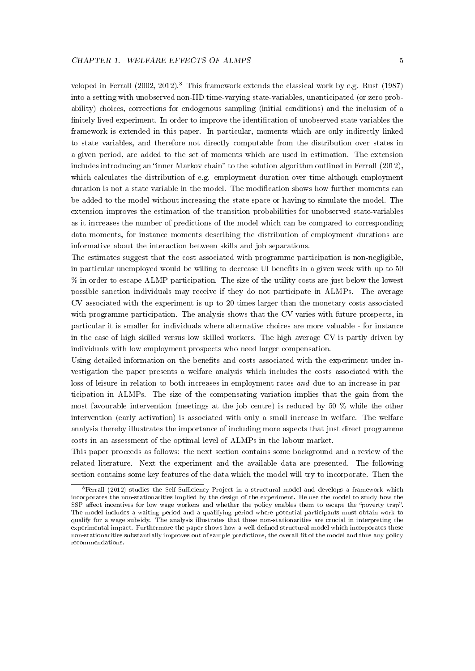veloped in Ferrall  $(2002, 2012)$ .<sup>8</sup> This framework extends the classical work by e.g. Rust  $(1987)$ into a setting with unobserved non-IID time-varying state-variables, unanticipated (or zero probability) choices, corrections for endogenous sampling (initial conditions) and the inclusion of a finitely lived experiment. In order to improve the identification of unobserved state variables the framework is extended in this paper. In particular, moments which are only indirectly linked to state variables, and therefore not directly computable from the distribution over states in a given period, are added to the set of moments which are used in estimation. The extension includes introducing an "inner Markov chain" to the solution algorithm outlined in Ferrall  $(2012)$ , which calculates the distribution of e.g. employment duration over time although employment duration is not a state variable in the model. The modification shows how further moments can be added to the model without increasing the state space or having to simulate the model. The extension improves the estimation of the transition probabilities for unobserved state-variables as it increases the number of predictions of the model which can be compared to corresponding data moments, for instance moments describing the distribution of employment durations are informative about the interaction between skills and job separations.

The estimates suggest that the cost associated with programme participation is non-negligible, in particular unemployed would be willing to decrease UI benefits in a given week with up to  $50$ % in order to escape ALMP participation. The size of the utility costs are just below the lowest possible sanction individuals may receive if they do not participate in ALMPs. The average CV associated with the experiment is up to 20 times larger than the monetary costs associated with programme participation. The analysis shows that the CV varies with future prospects, in particular it is smaller for individuals where alternative choices are more valuable - for instance in the case of high skilled versus low skilled workers. The high average CV is partly driven by individuals with low employment prospects who need larger compensation.

Using detailed information on the benefits and costs associated with the experiment under investigation the paper presents a welfare analysis which includes the costs associated with the loss of leisure in relation to both increases in employment rates and due to an increase in participation in ALMPs. The size of the compensating variation implies that the gain from the most favourable intervention (meetings at the job centre) is reduced by 50 % while the other intervention (early activation) is associated with only a small increase in welfare. The welfare analysis thereby illustrates the importance of including more aspects that just direct programme costs in an assessment of the optimal level of ALMPs in the labour market.

This paper proceeds as follows: the next section contains some background and a review of the related literature. Next the experiment and the available data are presented. The following section contains some key features of the data which the model will try to incorporate. Then the

 $8$ Ferrall (2012) studies the Self-Sufficiency-Project in a structural model and develops a framework which incorporates the non-stationarities implied by the design of the experiment. He use the model to study how the SSP affect incentives for low wage workers and whether the policy enables them to escape the "poverty trap". The model includes a waiting period and a qualifying period where potential participants must obtain work to qualify for a wage subsidy. The analysis illustrates that these non-stationarities are crucial in interpreting the experimental impact. Furthermore the paper shows how a well-dened structural model which incorporates these non-stationarities substantially improves out of sample predictions, the overall fit of the model and thus any policy recommendations.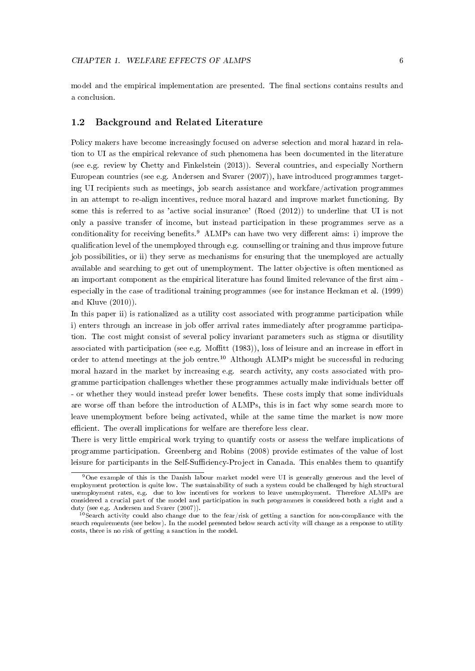model and the empirical implementation are presented. The final sections contains results and a conclusion.

# 1.2 Background and Related Literature

Policy makers have become increasingly focused on adverse selection and moral hazard in relation to UI as the empirical relevance of such phenomena has been documented in the literature (see e.g. review by Chetty and Finkelstein (2013)). Several countries, and especially Northern European countries (see e.g. Andersen and Svarer (2007)), have introduced programmes targeting UI recipients such as meetings, job search assistance and workfare/activation programmes in an attempt to re-align incentives, reduce moral hazard and improve market functioning. By some this is referred to as 'active social insurance' (Roed (2012)) to underline that UI is not only a passive transfer of income, but instead participation in these programmes serve as a conditionality for receiving benefits.<sup>9</sup> ALMPs can have two very different aims: i) improve the qualification level of the unemployed through e.g. counselling or training and thus improve future job possibilities, or ii) they serve as mechanisms for ensuring that the unemployed are actually available and searching to get out of unemployment. The latter objective is often mentioned as an important component as the empirical literature has found limited relevance of the first aim especially in the case of traditional training programmes (see for instance Heckman et al. (1999) and Kluve (2010)).

In this paper ii) is rationalized as a utility cost associated with programme participation while i) enters through an increase in job offer arrival rates immediately after programme participation. The cost might consist of several policy invariant parameters such as stigma or disutility associated with participation (see e.g. Moffitt (1983)), loss of leisure and an increase in effort in order to attend meetings at the job centre.<sup>10</sup> Although ALMPs might be successful in reducing moral hazard in the market by increasing e.g. search activity, any costs associated with programme participation challenges whether these programmes actually make individuals better o - or whether they would instead prefer lower benets. These costs imply that some individuals are worse off than before the introduction of ALMPs, this is in fact why some search more to leave unemployment before being activated, while at the same time the market is now more efficient. The overall implications for welfare are therefore less clear.

There is very little empirical work trying to quantify costs or assess the welfare implications of programme participation. Greenberg and Robins (2008) provide estimates of the value of lost leisure for participants in the Self-Sufficiency-Project in Canada. This enables them to quantify

<sup>&</sup>lt;sup>9</sup>One example of this is the Danish labour market model were UI is generally generous and the level of employment protection is quite low. The sustainability of such a system could be challenged by high structural unemployment rates, e.g. due to low incentives for workers to leave unemployment. Therefore ALMPs are considered a crucial part of the model and participation in such programmes is considered both a right and a duty (see e.g. Andersen and Svarer (2007)).

<sup>10</sup>Search activity could also change due to the fear/risk of getting a sanction for non-compliance with the search requirements (see below). In the model presented below search activity will change as a response to utility costs, there is no risk of getting a sanction in the model.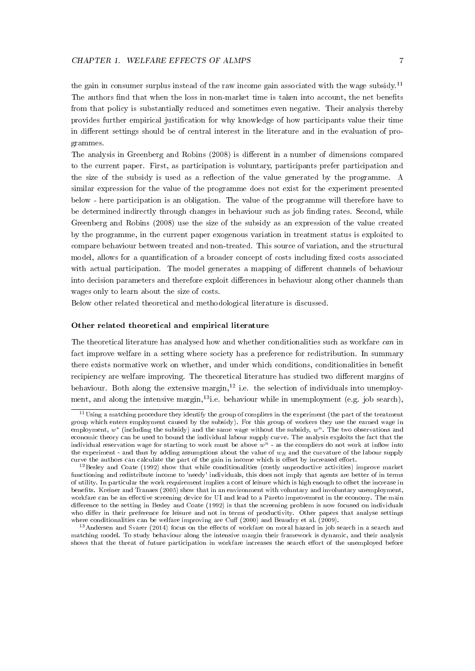the gain in consumer surplus instead of the raw income gain associated with the wage subsidy.<sup>11</sup> The authors find that when the loss in non-market time is taken into account, the net benefits from that policy is substantially reduced and sometimes even negative. Their analysis thereby provides further empirical justification for why knowledge of how participants value their time in different settings should be of central interest in the literature and in the evaluation of programmes.

The analysis in Greenberg and Robins (2008) is different in a number of dimensions compared to the current paper. First, as participation is voluntary, participants prefer participation and the size of the subsidy is used as a reflection of the value generated by the programme. A similar expression for the value of the programme does not exist for the experiment presented below - here participation is an obligation. The value of the programme will therefore have to be determined indirectly through changes in behaviour such as job finding rates. Second, while Greenberg and Robins (2008) use the size of the subsidy as an expression of the value created by the programme, in the current paper exogenous variation in treatment status is exploited to compare behaviour between treated and non-treated. This source of variation, and the structural model, allows for a quantification of a broader concept of costs including fixed costs associated with actual participation. The model generates a mapping of different channels of behaviour into decision parameters and therefore exploit differences in behaviour along other channels than wages only to learn about the size of costs.

Below other related theoretical and methodological literature is discussed.

#### Other related theoretical and empirical literature

The theoretical literature has analysed how and whether conditionalities such as workfare can in fact improve welfare in a setting where society has a preference for redistribution. In summary there exists normative work on whether, and under which conditions, conditionalities in benet recipiency are welfare improving. The theoretical literature has studied two different margins of behaviour. Both along the extensive margin,<sup>12</sup> i.e. the selection of individuals into unemployment, and along the intensive margin,<sup>13</sup>i.e. behaviour while in unemployment (e.g. job search),

<sup>11</sup>Using a matching procedure they identify the group of compliers in the experiment (the part of the treatment group which enters employment caused by the subsidy). For this group of workers they use the earned wage in employment,  $w^*$  (including the subsidy) and the same wage without the subsidy,  $w^n$ . The two observations and economic theory can be used to bound the individual labour supply curve. The analysis exploits the fact that the individual reservation wage for starting to work must be above  $w<sup>n</sup>$  - as the compliers do not work at inflow into the experiment - and thus by adding assumptions about the value of  $w_R$  and the curvature of the labour supply curve the authors can calculate the part of the gain in income which is offset by increased effort.

 $12$ Besley and Coate (1992) show that while conditionalities (costly unproductive activities) improve market functioning and redistribute income to 'needy' individuals, this does not imply that agents are better of in terms of utility. In particular the work requirement implies a cost of leisure which is high enough to offset the increase in benets. Kreiner and Tranaes (2005) show that in an environment with voluntary and involuntary unemployment, workfare can be an effective screening device for UI and lead to a Pareto improvement in the economy. The main difference to the setting in Besley and Coate (1992) is that the screening problem is now focused on individuals who differ in their preference for leisure and not in terms of productivity. Other papers that analyse settings where conditionalities can be welfare improving are Cuff  $(2000)$  and Beaudry et al.  $(2009)$ .

<sup>&</sup>lt;sup>13</sup> Andersen and Svarer (2014) focus on the effects of workfare on moral hazard in job search in a search and matching model. To study behaviour along the intensive margin their framework is dynamic, and their analysis shows that the threat of future participation in workfare increases the search effort of the unemployed before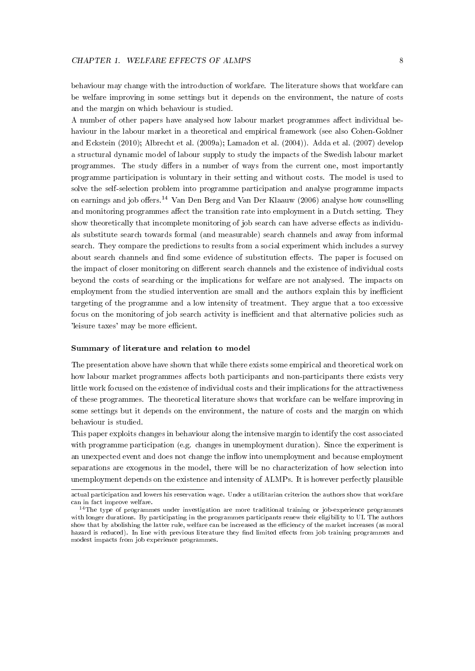behaviour may change with the introduction of workfare. The literature shows that workfare can be welfare improving in some settings but it depends on the environment, the nature of costs and the margin on which behaviour is studied.

A number of other papers have analysed how labour market programmes affect individual behaviour in the labour market in a theoretical and empirical framework (see also Cohen-Goldner and Eckstein (2010); Albrecht et al. (2009a); Lamadon et al. (2004)). Adda et al. (2007) develop a structural dynamic model of labour supply to study the impacts of the Swedish labour market programmes. The study differs in a number of ways from the current one, most importantly programme participation is voluntary in their setting and without costs. The model is used to solve the self-selection problem into programme participation and analyse programme impacts on earnings and job offers.<sup>14</sup> Van Den Berg and Van Der Klaauw (2006) analyse how counselling and monitoring programmes affect the transition rate into employment in a Dutch setting. They show theoretically that incomplete monitoring of job search can have adverse effects as individuals substitute search towards formal (and measurable) search channels and away from informal search. They compare the predictions to results from a social experiment which includes a survey about search channels and find some evidence of substitution effects. The paper is focused on the impact of closer monitoring on different search channels and the existence of individual costs beyond the costs of searching or the implications for welfare are not analysed. The impacts on employment from the studied intervention are small and the authors explain this by inefficient targeting of the programme and a low intensity of treatment. They argue that a too excessive focus on the monitoring of job search activity is inefficient and that alternative policies such as 'leisure taxes' may be more efficient.

#### Summary of literature and relation to model

The presentation above have shown that while there exists some empirical and theoretical work on how labour market programmes affects both participants and non-participants there exists very little work focused on the existence of individual costs and their implications for the attractiveness of these programmes. The theoretical literature shows that workfare can be welfare improving in some settings but it depends on the environment, the nature of costs and the margin on which behaviour is studied.

This paper exploits changes in behaviour along the intensive margin to identify the cost associated with programme participation (e.g. changes in unemployment duration). Since the experiment is an unexpected event and does not change the inflow into unemployment and because employment separations are exogenous in the model, there will be no characterization of how selection into unemployment depends on the existence and intensity of ALMPs. It is however perfectly plausible

actual participation and lowers his reservation wage. Under a utilitarian criterion the authors show that workfare can in fact improve welfare.

<sup>&</sup>lt;sup>14</sup>The type of programmes under investigation are more traditional training or job-experience programmes with longer durations. By participating in the programmes participants renew their eligibility to UI. The authors show that by abolishing the latter rule, welfare can be increased as the efficiency of the market increases (as moral hazard is reduced). In line with previous literature they find limited effects from job training programmes and modest impacts from job experience programmes.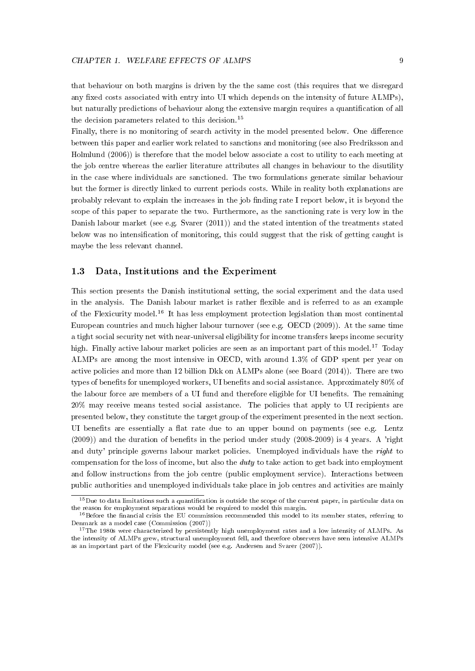that behaviour on both margins is driven by the the same cost (this requires that we disregard any fixed costs associated with entry into UI which depends on the intensity of future ALMPs), but naturally predictions of behaviour along the extensive margin requires a quantification of all the decision parameters related to this decision.<sup>15</sup>

Finally, there is no monitoring of search activity in the model presented below. One difference between this paper and earlier work related to sanctions and monitoring (see also Fredriksson and Holmlund (2006)) is therefore that the model below associate a cost to utility to each meeting at the job centre whereas the earlier literature attributes all changes in behaviour to the disutility in the case where individuals are sanctioned. The two formulations generate similar behaviour but the former is directly linked to current periods costs. While in reality both explanations are probably relevant to explain the increases in the job finding rate I report below, it is beyond the scope of this paper to separate the two. Furthermore, as the sanctioning rate is very low in the Danish labour market (see e.g. Svarer (2011)) and the stated intention of the treatments stated below was no intensification of monitoring, this could suggest that the risk of getting caught is maybe the less relevant channel.

# 1.3 Data, Institutions and the Experiment

This section presents the Danish institutional setting, the social experiment and the data used in the analysis. The Danish labour market is rather flexible and is referred to as an example of the Flexicurity model.<sup>16</sup> It has less employment protection legislation than most continental European countries and much higher labour turnover (see e.g. OECD (2009)). At the same time a tight social security net with near-universal eligibility for income transfers keeps income security high. Finally active labour market policies are seen as an important part of this model.<sup>17</sup> Today ALMPs are among the most intensive in OECD, with around 1.3% of GDP spent per year on active policies and more than 12 billion Dkk on ALMPs alone (see Board (2014)). There are two types of benefits for unemployed workers, UI benefits and social assistance. Approximately 80% of the labour force are members of a UI fund and therefore eligible for UI benets. The remaining 20% may receive means tested social assistance. The policies that apply to UI recipients are presented below, they constitute the target group of the experiment presented in the next section. UI benefits are essentially a flat rate due to an upper bound on payments (see e.g. Lentz  $(2009)$ ) and the duration of benefits in the period under study  $(2008-2009)$  is 4 years. A 'right and duty' principle governs labour market policies. Unemployed individuals have the *right* to compensation for the loss of income, but also the duty to take action to get back into employment and follow instructions from the job centre (public employment service). Interactions between public authorities and unemployed individuals take place in job centres and activities are mainly

<sup>&</sup>lt;sup>15</sup>Due to data limitations such a quantification is outside the scope of the current paper, in particular data on the reason for employment separations would be required to model this margin.

 $16$ Before the financial crisis the EU commission recommended this model to its member states, referring to Denmark as a model case (Commission (2007))

 $17$ The 1980s were characterized by persistently high unemployment rates and a low intensity of ALMPs. As the intensity of ALMPs grew, structural unemployment fell, and therefore observers have seen intensive ALMPs as an important part of the Flexicurity model (see e.g. Andersen and Svarer (2007)).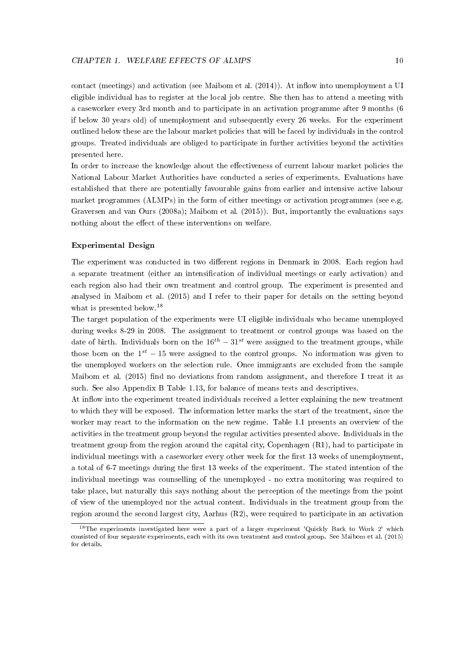contact (meetings) and activation (see Maibom et al. (2014)). At inflow into unemployment a UI eligible individual has to register at the local job centre. She then has to attend a meeting with a caseworker every 3rd month and to participate in an activation programme after 9 months (6 if below 30 years old) of unemployment and subsequently every 26 weeks. For the experiment outlined below these are the labour market policies that will be faced by individuals in the control groups. Treated individuals are obliged to participate in further activities beyond the activities presented here.

In order to increase the knowledge about the effectiveness of current labour market policies the National Labour Market Authorities have conducted a series of experiments. Evaluations have established that there are potentially favourable gains from earlier and intensive active labour market programmes (ALMPs) in the form of either meetings or activation programmes (see e.g. Graversen and van Ours (2008a); Maibom et al. (2015)). But, importantly the evaluations says nothing about the effect of these interventions on welfare.

# Experimental Design

The experiment was conducted in two different regions in Denmark in 2008. Each region had a separate treatment (either an intensification of individual meetings or early activation) and each region also had their own treatment and control group. The experiment is presented and analysed in Maibom et al. (2015) and I refer to their paper for details on the setting beyond what is presented below.<sup>18</sup>

The target population of the experiments were UI eligible individuals who became unemployed during weeks 8-29 in 2008. The assignment to treatment or control groups was based on the date of birth. Individuals born on the  $16<sup>th</sup> - 31<sup>st</sup>$  were assigned to the treatment groups, while those born on the  $1^{st} - 15$  were assigned to the control groups. No information was given to the unemployed workers on the selection rule. Once immigrants are excluded from the sample Maibom et al. (2015) find no deviations from random assignment, and therefore I treat it as such. See also Appendix B Table 1.13, for balance of means tests and descriptives.

At inflow into the experiment treated individuals received a letter explaining the new treatment to which they will be exposed. The information letter marks the start of the treatment, since the worker may react to the information on the new regime. Table 1.1 presents an overview of the activities in the treatment group beyond the regular activities presented above. Individuals in the treatment group from the region around the capital city, Copenhagen (R1), had to participate in individual meetings with a caseworker every other week for the first 13 weeks of unemployment, a total of 6-7 meetings during the first 13 weeks of the experiment. The stated intention of the individual meetings was counselling of the unemployed - no extra monitoring was required to take place, but naturally this says nothing about the perception of the meetings from the point of view of the unemployed nor the actual content. Individuals in the treatment group from the region around the second largest city, Aarhus (R2), were required to participate in an activation

 $18$ The experiments investigated here were a part of a larger experiment 'Quickly Back to Work 2' which consisted of four separate experiments, each with its own treatment and control group. See Maibom et al. (2015) for details.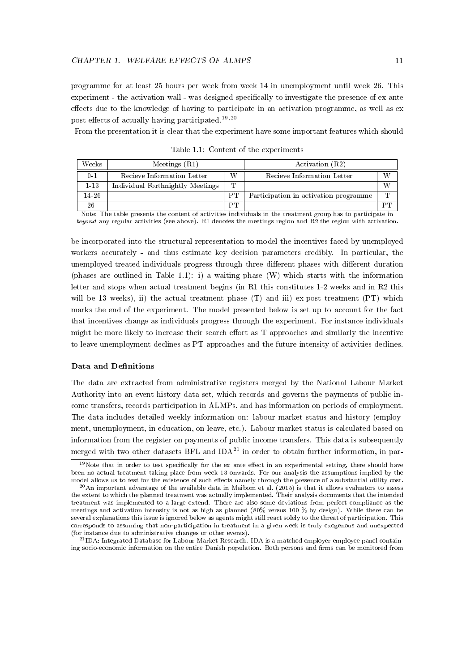programme for at least 25 hours per week from week 14 in unemployment until week 26. This experiment - the activation wall - was designed specifically to investigate the presence of ex ante effects due to the knowledge of having to participate in an activation programme, as well as ex post effects of actually having participated.<sup>19,20</sup>

From the presentation it is clear that the experiment have some important features which should

| Weeks    | Meetings $(R1)$                  |    | Activation (R2)                       |    |
|----------|----------------------------------|----|---------------------------------------|----|
| $0 - 1$  | Recieve Information Letter       | W  | Recieve Information Letter            | W  |
| $1 - 13$ | Individual Forthnightly Meetings | ጥ  |                                       | W  |
| 14-26    |                                  | PТ | Participation in activation programme | m  |
| $26 -$   |                                  | PТ |                                       | PТ |

Table 1.1: Content of the experiments

Note: The table presents the content of activities individuals in the treatment group has to participate in beyond any regular activities (see above). R1 denotes the meetings region and R2 the region with activation.

be incorporated into the structural representation to model the incentives faced by unemployed workers accurately - and thus estimate key decision parameters credibly. In particular, the unemployed treated individuals progress through three different phases with different duration (phases are outlined in Table 1.1): i) a waiting phase (W) which starts with the information letter and stops when actual treatment begins (in R1 this constitutes 1-2 weeks and in R2 this will be 13 weeks), ii) the actual treatment phase  $(T)$  and iii) ex-post treatment  $(PT)$  which marks the end of the experiment. The model presented below is set up to account for the fact that incentives change as individuals progress through the experiment. For instance individuals might be more likely to increase their search effort as  $T$  approaches and similarly the incentive to leave unemployment declines as PT approaches and the future intensity of activities declines.

# Data and Definitions

The data are extracted from administrative registers merged by the National Labour Market Authority into an event history data set, which records and governs the payments of public income transfers, records participation in ALMPs, and has information on periods of employment. The data includes detailed weekly information on: labour market status and history (employment, unemployment, in education, on leave, etc.). Labour market status is calculated based on information from the register on payments of public income transfers. This data is subsequently merged with two other datasets BFL and  $IDA^{21}$  in order to obtain further information, in par-

 $19$ Note that in order to test specifically for the ex ante effect in an experimental setting, there should have been no actual treatment taking place from week 13 onwards. For our analysis the assumptions implied by the model allows us to test for the existence of such effects namely through the presence of a substantial utility cost.

 $^{20}\mathrm{An}$  important advantage of the available data in Maibom et al. (2015) is that it allows evaluators to assess the extent to which the planned treatment was actually implemented. Their analysis documents that the intended treatment was implemented to a large extend. There are also some deviations from perfect compliance as the meetings and activation intensity is not as high as planned (80% versus 100 % by design). While there can be several explanations this issue is ignored below as agents might still react solely to the threat of participation. This corresponds to assuming that non-participation in treatment in a given week is truly exogenous and unexpected (for instance due to administrative changes or other events).

<sup>21</sup>IDA: Integrated Database for Labour Market Research. IDA is a matched employer-employee panel containing socio-economic information on the entire Danish population. Both persons and firms can be monitored from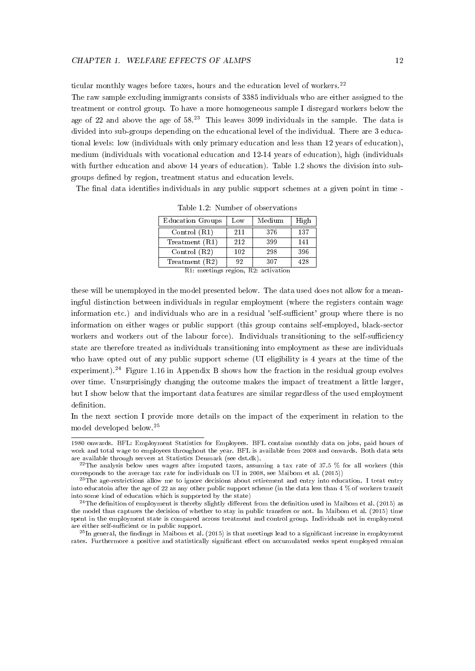ticular monthly wages before taxes, hours and the education level of workers.<sup>22</sup>

The raw sample excluding immigrants consists of 3385 individuals who are either assigned to the treatment or control group. To have a more homogeneous sample I disregard workers below the age of 22 and above the age of  $58<sup>23</sup>$ . This leaves 3099 individuals in the sample. The data is divided into sub-groups depending on the educational level of the individual. There are 3 educational levels: low (individuals with only primary education and less than 12 years of education), medium (individuals with vocational education and 12-14 years of education), high (individuals with further education and above 14 years of education). Table 1.2 shows the division into subgroups defined by region, treatment status and education levels.

The final data identifies individuals in any public support schemes at a given point in time -

| <b>Education Groups</b> | $_{\operatorname{Low}}$ | $\operatorname*{Median}% \left( \mathcal{N}\right) \equiv\operatorname*{Arg}\left( \mathcal{N}\right)$ | High |
|-------------------------|-------------------------|--------------------------------------------------------------------------------------------------------|------|
| Control $(R1)$          | 211                     | 376                                                                                                    | 137  |
| Treatment (R1)          | 212                     | 399                                                                                                    | 141  |
| Control $(R2)$          | 102                     | 298                                                                                                    | 396  |
| Treatment $(R2)$        | 92                      | 307                                                                                                    | 428  |

Table 1.2: Number of observations

R1: meetings region, R2: activation

these will be unemployed in the model presented below. The data used does not allow for a meaningful distinction between individuals in regular employment (where the registers contain wage information etc.) and individuals who are in a residual 'self-sufficient' group where there is no information on either wages or public support (this group contains self-employed, black-sector workers and workers out of the labour force). Individuals transitioning to the self-sufficiency state are therefore treated as individuals transitioning into employment as these are individuals who have opted out of any public support scheme (UI eligibility is 4 years at the time of the experiment).<sup>24</sup> Figure 1.16 in Appendix B shows how the fraction in the residual group evolves over time. Unsurprisingly changing the outcome makes the impact of treatment a little larger, but I show below that the important data features are similar regardless of the used employment definition.

In the next section I provide more details on the impact of the experiment in relation to the model developed below.<sup>25</sup>

<sup>1980</sup> onwards. BFL: Employment Statistics for Employees. BFL contains monthly data on jobs, paid hours of work and total wage to employees throughout the year. BFL is available from 2008 and onwards. Both data sets are available through servers at Statistics Denmark (see dst.dk).

<sup>&</sup>lt;sup>22</sup>The analysis below uses wages after imputed taxes, assuming a tax rate of 37.5  $%$  for all workers (this corresponds to the average tax rate for individuals on UI in 2008, see Maibom et al. (2015))

 $^{23}$ The age-restrictions allow me to ignore decisions about retirement and entry into education. I treat entry into educatoin after the age of 22 as any other public support scheme (in the data less than 4 % of workers transit into some kind of education which is supported by the state)

 $^{24}$ The definition of employment is thereby slightly different from the definition used in Maibom et al. (2015) as the model thus captures the decision of whether to stay in public transfers or not. In Maibom et al. (2015) time spent in the employment state is compared across treatment and control group. Individuals not in employment are either self-sufficient or in public support.

 $^{25}$ In general, the findings in Maibom et al. (2015) is that meetings lead to a significant increase in employment rates. Furthermore a positive and statistically significant effect on accumulated weeks spent employed remains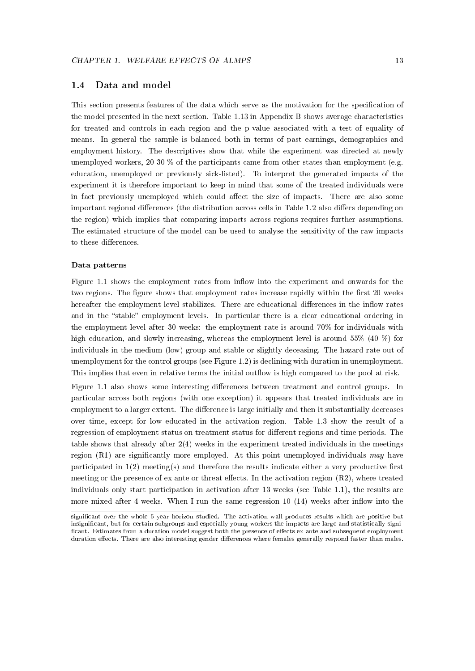# 1.4 Data and model

This section presents features of the data which serve as the motivation for the specification of the model presented in the next section. Table 1.13 in Appendix B shows average characteristics for treated and controls in each region and the p-value associated with a test of equality of means. In general the sample is balanced both in terms of past earnings, demographics and employment history. The descriptives show that while the experiment was directed at newly unemployed workers, 20-30  $\%$  of the participants came from other states than employment (e.g. education, unemployed or previously sick-listed). To interpret the generated impacts of the experiment it is therefore important to keep in mind that some of the treated individuals were in fact previously unemployed which could affect the size of impacts. There are also some important regional differences (the distribution across cells in Table 1.2 also differs depending on the region) which implies that comparing impacts across regions requires further assumptions. The estimated structure of the model can be used to analyse the sensitivity of the raw impacts to these differences.

# Data patterns

Figure 1.1 shows the employment rates from inflow into the experiment and onwards for the two regions. The figure shows that employment rates increase rapidly within the first 20 weeks hereafter the employment level stabilizes. There are educational differences in the inflow rates and in the "stable" employment levels. In particular there is a clear educational ordering in the employment level after 30 weeks: the employment rate is around 70% for individuals with high education, and slowly increasing, whereas the employment level is around 55% (40 %) for individuals in the medium (low) group and stable or slightly deceasing. The hazard rate out of unemployment for the control groups (see Figure 1.2) is declining with duration in unemployment. This implies that even in relative terms the initial outflow is high compared to the pool at risk.

Figure 1.1 also shows some interesting differences between treatment and control groups. In particular across both regions (with one exception) it appears that treated individuals are in employment to a larger extent. The difference is large initially and then it substantially decreases over time, except for low educated in the activation region. Table 1.3 show the result of a regression of employment status on treatment status for different regions and time periods. The table shows that already after  $2(4)$  weeks in the experiment treated individuals in the meetings region  $(R1)$  are significantly more employed. At this point unemployed individuals may have participated in  $1(2)$  meeting(s) and therefore the results indicate either a very productive first meeting or the presence of  $ex$  ante or threat effects. In the activation region  $(R2)$ , where treated individuals only start participation in activation after 13 weeks (see Table 1.1), the results are more mixed after 4 weeks. When I run the same regression  $10(14)$  weeks after inflow into the

significant over the whole 5 year horizon studied. The activation wall produces results which are positive but insignicant, but for certain subgroups and especially young workers the impacts are large and statistically signi ficant. Estimates from a duration model suggest both the presence of effects ex ante and subsequent employment duration effects. There are also interesting gender differences where females generally respond faster than males.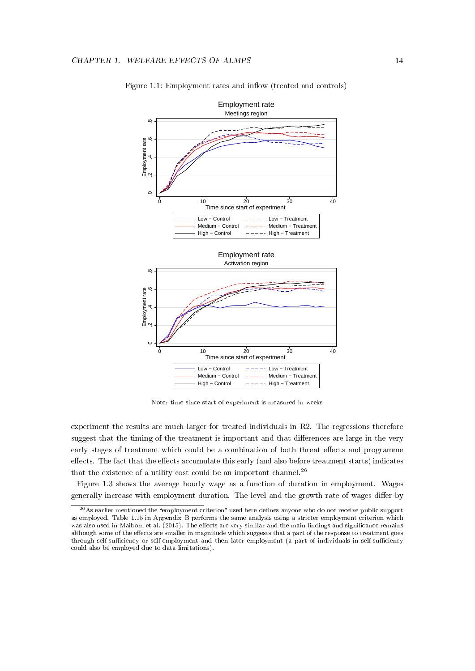

Figure 1.1: Employment rates and inflow (treated and controls)

Note: time since start of experiment is measured in weeks

experiment the results are much larger for treated individuals in R2. The regressions therefore suggest that the timing of the treatment is important and that differences are large in the very early stages of treatment which could be a combination of both threat effects and programme effects. The fact that the effects accumulate this early (and also before treatment starts) indicates that the existence of a utility cost could be an important channel.<sup>26</sup>

Figure 1.3 shows the average hourly wage as a function of duration in employment. Wages generally increase with employment duration. The level and the growth rate of wages differ by

 $26$ As earlier mentioned the "employment criterion" used here defines anyone who do not receive public support as employed. Table 1.15 in Appendix B performs the same analysis using a stricter employment criterion which was also used in Maibom et al. (2015). The effects are very similar and the main findings and significance remains although some of the effects are smaller in magnitude which suggests that a part of the response to treatment goes through self-sufficiency or self-employment and then later employment (a part of individuals in self-sufficiency could also be employed due to data limitations).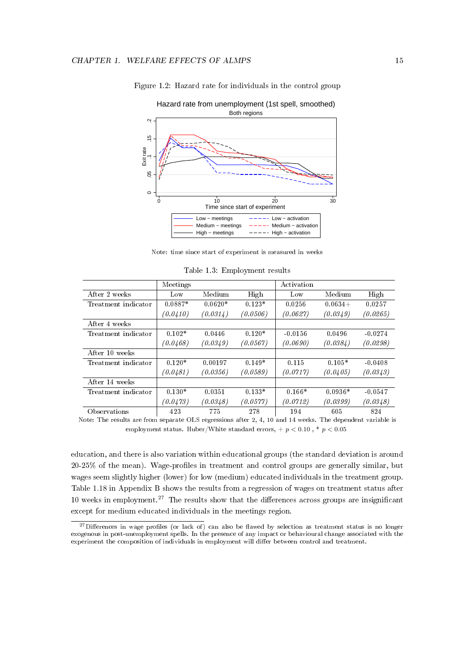

Figure 1.2: Hazard rate for individuals in the control group

Note: time since start of experiment is measured in weeks

|                     | Meetings  |           |          | Activation |           |           |
|---------------------|-----------|-----------|----------|------------|-----------|-----------|
| After 2 weeks       | Low       | Medium    | High     | Low        | Medium    | High      |
| Treatment indicator | $0.0887*$ | $0.0620*$ | $0.123*$ | 0.0256     | $0.0634+$ | 0.0257    |
|                     | (0.0410)  | (0.0314)  | (0.0506) | (0.0627)   | (0.0349)  | (0.0265)  |
| After 4 weeks       |           |           |          |            |           |           |
| Treatment indicator | $0.102*$  | 0.0446    | $0.120*$ | $-0.0156$  | 0.0496    | $-0.0274$ |
|                     | (0.0468)  | (0.0349)  | (0.0567) | (0.0690)   | (0.0384)  | (0.0298)  |
| After 10 weeks      |           |           |          |            |           |           |
| Treatment indicator | $0.120*$  | 0.00197   | $0.149*$ | 0.115      | $0.105*$  | $-0.0408$ |
|                     | (0.0481)  | (0.0356)  | (0.0589) | (0.0717)   | (0.0405)  | (0.0343)  |
| After 14 weeks      |           |           |          |            |           |           |
| Treatment indicator | $0.130*$  | 0.0351    | $0.133*$ | $0.166*$   | $0.0936*$ | $-0.0547$ |
|                     | (0.0473)  | (0.0348)  | (0.0577) | (0.0712)   | (0.0399)  | (0.0348)  |
| Observations        | 423       | 775       | 278      | 194        | 605       | 824       |

Table 1.3: Employment results

Note: The results are from separate OLS regressions after 2, 4, 10 and 14 weeks. The dependent variable is employment status. Huber/White standard errors,  $+$   $p$  < 0.10 ,  $*$   $p$  < 0.05

education, and there is also variation within educational groups (the standard deviation is around 20-25% of the mean). Wage-profiles in treatment and control groups are generally similar, but wages seem slightly higher (lower) for low (medium) educated individuals in the treatment group. Table 1.18 in Appendix B shows the results from a regression of wages on treatment status after 10 weeks in employment.<sup>27</sup> The results show that the differences across groups are insignificant except for medium educated individuals in the meetings region.

 $27$  Differences in wage profiles (or lack of) can also be flawed by selection as treatment status is no longer exogenous in post-unemployment spells. In the presence of any impact or behavioural change associated with the experiment the composition of individuals in employment will dier between control and treatment.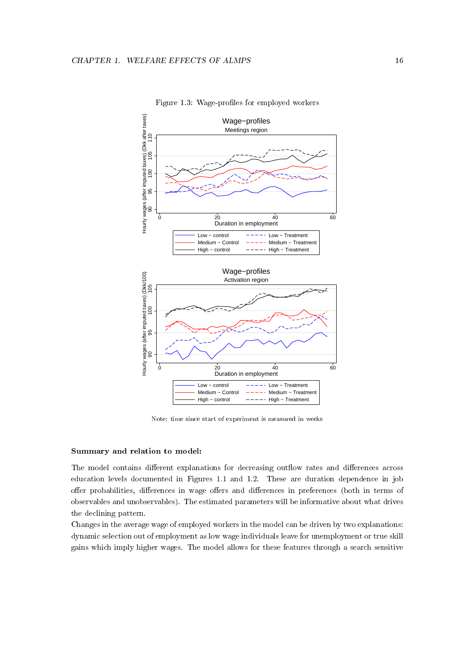

Figure 1.3: Wage-profiles for employed workers

Note: time since start of experiment is measured in weeks

# Summary and relation to model:

The model contains different explanations for decreasing outflow rates and differences across education levels documented in Figures 1.1 and 1.2. These are duration dependence in job offer probabilities, differences in wage offers and differences in preferences (both in terms of observables and unobservables). The estimated parameters will be informative about what drives the declining pattern.

Changes in the average wage of employed workers in the model can be driven by two explanations: dynamic selection out of employment as low wage individuals leave for unemployment or true skill gains which imply higher wages. The model allows for these features through a search sensitive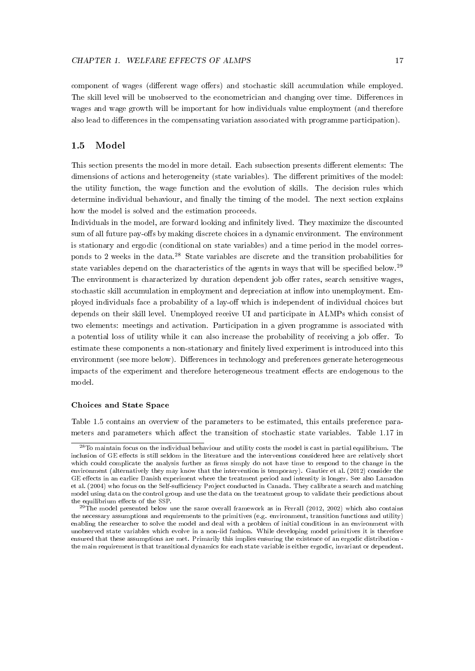component of wages (different wage offers) and stochastic skill accumulation while employed. The skill level will be unobserved to the econometrician and changing over time. Differences in wages and wage growth will be important for how individuals value employment (and therefore also lead to differences in the compensating variation associated with programme participation).

# 1.5 Model

This section presents the model in more detail. Each subsection presents different elements: The dimensions of actions and heterogeneity (state variables). The different primitives of the model: the utility function, the wage function and the evolution of skills. The decision rules which determine individual behaviour, and finally the timing of the model. The next section explains how the model is solved and the estimation proceeds.

Individuals in the model, are forward looking and innitely lived. They maximize the discounted sum of all future pay-offs by making discrete choices in a dynamic environment. The environment is stationary and ergodic (conditional on state variables) and a time period in the model corresponds to 2 weeks in the data.<sup>28</sup> State variables are discrete and the transition probabilities for state variables depend on the characteristics of the agents in ways that will be specified below.<sup>29</sup> The environment is characterized by duration dependent job offer rates, search sensitive wages, stochastic skill accumulation in employment and depreciation at inflow into unemployment. Employed individuals face a probability of a lay-off which is independent of individual choices but depends on their skill level. Unemployed receive UI and participate in ALMPs which consist of two elements: meetings and activation. Participation in a given programme is associated with a potential loss of utility while it can also increase the probability of receiving a job offer. To estimate these components a non-stationary and finitely lived experiment is introduced into this environment (see more below). Differences in technology and preferences generate heterogeneous impacts of the experiment and therefore heterogeneous treatment effects are endogenous to the model.

#### Choices and State Space

Table 1.5 contains an overview of the parameters to be estimated, this entails preference parameters and parameters which affect the transition of stochastic state variables. Table 1.17 in

 $^{28}$ To maintain focus on the individual behaviour and utility costs the model is cast in partial equilibrium. The inclusion of GE effects is still seldom in the literature and the interventions considered here are relatively short which could complicate the analysis further as firms simply do not have time to respond to the change in the environment (alternatively they may know that the intervention is temporary). Gautier et al. (2012) consider the GE effects in an earlier Danish experiment where the treatment period and intensity is longer. See also Lamadon et al. (2004) who focus on the Self-sufficiency Project conducted in Canada. They calibrate a search and matching model using data on the control group and use the data on the treatment group to validate their predictions about the equilibrium effects of the SSP.

 $^{29}$ The model presented below use the same overall framework as in Ferrall (2012, 2002) which also contains the necessary assumptions and requirements to the primitives (e.g. environment, transition functions and utility) enabling the researcher to solve the model and deal with a problem of initial conditions in an environment with unobserved state variables which evolve in a non-iid fashion. While developing model primitives it is therefore ensured that these assumptions are met. Primarily this implies ensuring the existence of an ergodic distribution the main requirement is that transitional dynamics for each state variable is either ergodic, invariant or dependent.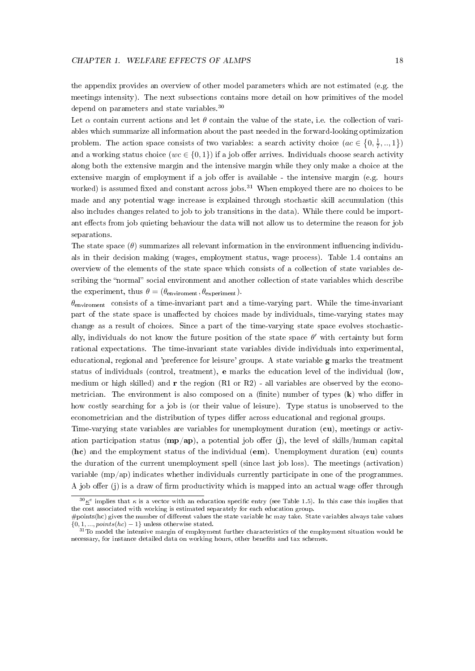the appendix provides an overview of other model parameters which are not estimated (e.g. the meetings intensity). The next subsections contains more detail on how primitives of the model depend on parameters and state variables.<sup>30</sup>

Let  $\alpha$  contain current actions and let  $\theta$  contain the value of the state, i.e. the collection of variables which summarize all information about the past needed in the forward-looking optimization problem. The action space consists of two variables: a search activity choice  $(ac \in \{0, \frac{1}{7}, ..., 1\})$ and a working status choice ( $wc \in \{0, 1\}$ ) if a job offer arrives. Individuals choose search activity along both the extensive margin and the intensive margin while they only make a choice at the extensive margin of employment if a job offer is available - the intensive margin (e.g. hours worked) is assumed fixed and constant across jobs.<sup>31</sup> When employed there are no choices to be made and any potential wage increase is explained through stochastic skill accumulation (this also includes changes related to job to job transitions in the data). While there could be important effects from job quieting behaviour the data will not allow us to determine the reason for job separations.

The state space  $(\theta)$  summarizes all relevant information in the environment influencing individuals in their decision making (wages, employment status, wage process). Table 1.4 contains an overview of the elements of the state space which consists of a collection of state variables describing the "normal" social environment and another collection of state variables which describe the experiment, thus  $\theta = (\theta_{\text{environment}}, \theta_{\text{experiment}})$ .

 $\theta_{\text{environment}}$  consists of a time-invariant part and a time-varying part. While the time-invariant part of the state space is unaffected by choices made by individuals, time-varying states may change as a result of choices. Since a part of the time-varying state space evolves stochastically, individuals do not know the future position of the state space  $\theta'$  with certainty but form rational expectations. The time-invariant state variables divide individuals into experimental, educational, regional and 'preference for leisure' groups. A state variable g marks the treatment status of individuals (control, treatment), e marks the education level of the individual (low, medium or high skilled) and  $r$  the region (R1 or R2) - all variables are observed by the econometrician. The environment is also composed on a (finite) number of types  $(k)$  who differ in how costly searching for a job is (or their value of leisure). Type status is unobserved to the econometrician and the distribution of types differ across educational and regional groups.

Time-varying state variables are variables for unemployment duration (cu), meetings or activation participation status  $(mp/ap)$ , a potential job offer (j), the level of skills/human capital (hc) and the employment status of the individual (em). Unemployment duration (cu) counts the duration of the current unemployment spell (since last job loss). The meetings (activation) variable (mp/ap) indicates whether individuals currently participate in one of the programmes. A job offer (j) is a draw of firm productivity which is mapped into an actual wage offer through

 $^{30}$ <sub>k</sub>e implies that  $\kappa$  is a vector with an education specific entry (see Table 1.5). In this case this implies that the cost associated with working is estimated separately for each education group.

 $\#$ points(hc) gives the number of different values the state variable hc may take. State variables always take values  $\{0, 1, \ldots, points(hc) - 1\}$  unless otherwise stated.

 $31$ To model the intensive margin of employment further characteristics of the employment situation would be necessary, for instance detailed data on working hours, other benets and tax schemes.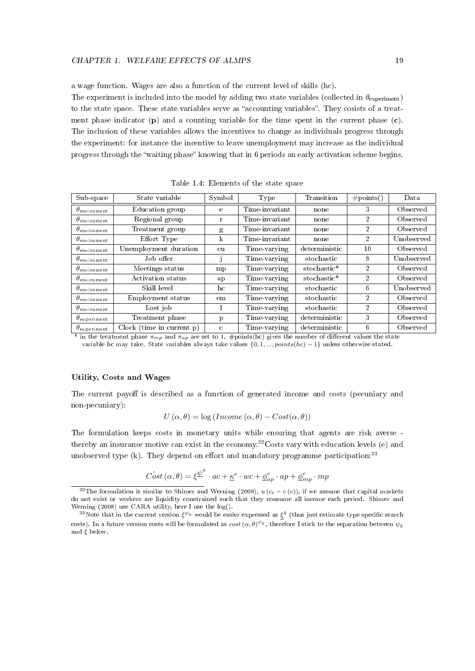a wage function. Wages are also a function of the current level of skills (hc).

The experiment is included into the model by adding two state variables (collected in  $\theta_{\text{experiment}}$ ) to the state space. These state variables serve as "accounting variables". They cosists of a treatment phase indicator (p) and a counting variable for the time spent in the current phase  $(c)$ . The inclusion of these variables allows the incentives to change as individuals progress through the experiment: for instance the incentive to leave unemployment may increase as the individual progress through the "waiting phase" knowing that in 6 periods an early activation scheme begins.

| Sub-space                  | State variable                  | Symbol       | Type           | Transition    | #points()      | Data       |
|----------------------------|---------------------------------|--------------|----------------|---------------|----------------|------------|
| $\theta_{\rm environment}$ | Education group                 | e            | Time invariant | none          | 3              | Observed   |
| $\theta_{\rm environment}$ | Regional group                  | r            | Time invariant | none          | $\overline{2}$ | Observed   |
| $\theta_{\rm environment}$ | Treatment group                 | g            | Time-invariant | none          | $\overline{2}$ | Observed   |
| $\theta_{\rm environment}$ | Effort Type                     | $\mathbf{k}$ | Time invariant | none          | $\overline{2}$ | Unobserved |
| $\theta_{\rm environment}$ | Unemployment duration           | cu.          | Time-varying   | deterministic | 10             | Observed   |
| $\theta_{\rm environment}$ | Job offer                       |              | Time-varying   | stochastic    | 8              | Unobserved |
| $\theta_{\rm environment}$ | Meetings status                 | mp           | Time-varying   | stochastic*   | $\mathfrak{D}$ | Observed   |
| $\theta_{\rm environment}$ | Activation status               | ap           | Time-varying   | stochastic*   | $\overline{2}$ | Observed   |
| $\theta_{\rm environment}$ | Skill level                     | hc           | Time-varying   | stochastic    | 6              | Unobserved |
| $\theta_{\rm environment}$ | Employment status               | em           | Time-varying   | stochastic    | $\overline{2}$ | Observed   |
| $\theta_{\rm environment}$ | Lost job                        |              | Time-varying   | stochastic    | $\overline{2}$ | Observed   |
| $\theta_{\rm experiment}$  | Treatment phase                 | p            | Time-varying   | deterministic | 3              | Observed   |
| $\theta_{\rm experiment}$  | $Clock$ (time in current $p)$ ) | C            | Time-varying   | deterministic | 6              | Observed   |

Table 1.4: Elements of the state space

\* in the treatment phase  $\pi_{mp}$  and  $\pi_{ap}$  are set to 1. #points(hc) gives the number of different values the state variable hc may take. State variables always take values  $\{0, 1, ..., points(hc) - 1\}$  unless otherwise stated.

#### Utility, Costs and Wages

The current payoff is described as a function of generated income and costs (pecuniary and non-pecuniary):

$$
U(\alpha, \theta) = \log (Income(\alpha, \theta) - Cost(\alpha, \theta))
$$

The formulation keeps costs in monetary units while ensuring that agents are risk averse thereby an insurance motive can exist in the economy.<sup>32</sup>Costs vary with education levels (e) and unobserved type  $(k)$ . They depend on effort and mandatory programme participation:<sup>33</sup>

$$
\hat{Cost}(\alpha, \theta) = \xi^{\underline{\psi}^k} \cdot ac + \underline{\kappa}^e \cdot wc + \underline{\phi}^e_{ap} \cdot ap + \underline{\phi}^e_{mp} \cdot mp
$$

<sup>&</sup>lt;sup>32</sup>The formulation is similar to Shimer and Werning (2008),  $u(c_t - v(e))$ , if we assume that capital markets do not exist or workers are liquidity constrained such that they consume all income each period. Shimer and Werning (2008) use CARA utility, here I use the log().

<sup>&</sup>lt;sup>33</sup>Note that in the current version  $\xi^{\psi_k}$  would be easier expressed as  $\xi^k$  (thus just estimate type specific search costs). In a future version costs will be formulated as  $cost(\alpha,\theta)^{\psi_k}$ , therefore I stick to the separation between  $\psi_k$ and  $\xi$  below.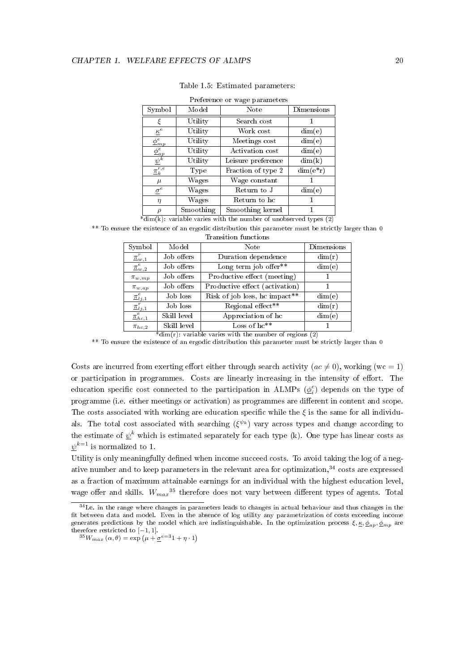|                           |           | Preference or wage parameters |             |
|---------------------------|-----------|-------------------------------|-------------|
| Symbol                    | Model     | Note                          | Dimensions  |
| ξ                         | Utility   | Search cost                   |             |
| $\underline{\kappa}^e$    | Utility   | Work cost                     | dim(e)      |
| $\underline{\phi}^e_{mp}$ | Utility   | Meetings cost                 | dim(e)      |
| $\underline{\phi}_{ap}^e$ | Utility   | Activation cost               | dim(e)      |
| $\psi^k$                  | Utility   | Leisure preference            | dim(k)      |
| $\underline{\pi}_k^{r,e}$ | Type      | Fraction of type 2            | $dim(e^*r)$ |
| $\mu$                     | Wages     | Wage constant                 |             |
| $\underline{\sigma}^e$    | Wages     | Return to J                   | dim(e)      |
| $\eta$                    | Wages     | Return to ho                  |             |
| $\rho$                    | Smoothing | Smoothing kernel              |             |

|  |  |  | Table 1.5: Estimated parameters: |
|--|--|--|----------------------------------|
|--|--|--|----------------------------------|

 $*\dim(k)$ : variable varies with the number of unobserved types  $(2)$ 

\*\* To ensure the existence of an ergodic distribution this parameter must be strictly larger than 0

|                            |             | Transition functions           |            |
|----------------------------|-------------|--------------------------------|------------|
| Symbol                     | Model       | Note                           | Dimensions |
| $\pi^r_{w,1}$              | Job offers  | Duration dependence            | dim(r)     |
| $\underline{\pi}_{w,2}^e$  | Job offers  | Long term job offer**          | dim(e)     |
| $\pi_{w,mp}$               | Job offers  | Productive effect (meeting)    |            |
| $\pi_{w,ap}$               | Job offers  | Productive effect (activation) |            |
| $\mathcal{I}_{lj,1}^e$     | Job loss    | Risk of job loss, hc impact**  | dim(e)     |
| $\pi_{lj,1}^r$             | Job loss    | Regional effect**              | dim(r)     |
| $\underline{\pi}_{hc,1}^e$ | Skill level | Appreciation of hc             | dim(e)     |
| $\pi_{hc,2}$               | Skill level | Loss of $he^{**}$              |            |

 $*\dim(r)$ : variable varies with the number of regions  $(2)$ 

\*\* To ensure the existence of an ergodic distribution this parameter must be strictly larger than 0

Costs are incurred from exerting effort either through search activity  $(ac \neq 0)$ , working (wc = 1) or participation in programmes. Costs are linearly increasing in the intensity of effort. The education specific cost connected to the participation in ALMPs  $(\underline{\phi}_i^e)$  depends on the type of programme (i.e. either meetings or activation) as programmes are different in content and scope. The costs associated with working are education specific while the  $\xi$  is the same for all individuals. The total cost associated with searching  $(\xi^{\psi_k})$  vary across types and change according to the estimate of  $\underline{\psi}^k$  which is estimated separately for each type (k). One type has linear costs as  $\psi^{k=1}$  is normalized to 1.

Utility is only meaningfully defined when income succeed costs. To avoid taking the log of a negative number and to keep parameters in the relevant area for optimization,<sup>34</sup> costs are expressed as a fraction of maximum attainable earnings for an individual with the highest education level, wage offer and skills.  $W_{max}^{35}$  therefore does not vary between different types of agents. Total

 $34$ I.e. in the range where changes in parameters leads to changes in actual behaviour and thus changes in the fit between data and model. Even in the absence of log utility any parametrization of costs exceeding income generates predictions by the model which are indistinguishable. In the optimization process  $\xi, \underline{\kappa}, \underline{\phi}_{nn}, \underline{\phi}_{mn}$  are therefore restricted to  $[-1, 1]$ .

<sup>&</sup>lt;sup>35</sup> $W_{max}(\alpha, \theta) = \exp \left(\mu + \underline{\sigma}^{e=3} 1 + \eta \cdot 1\right)$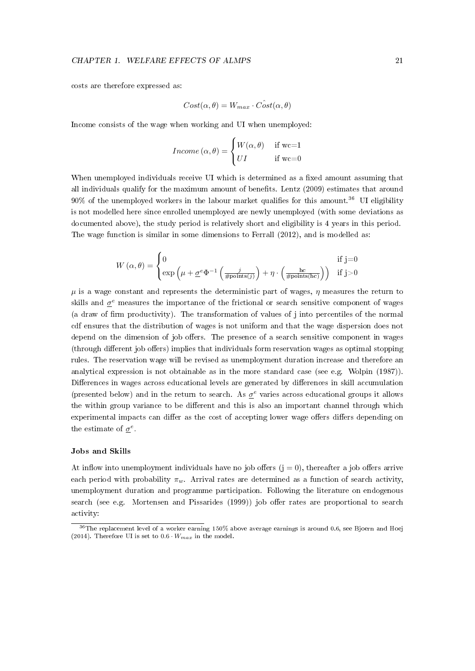costs are therefore expressed as:

$$
Cost(\alpha, \theta) = W_{max} \cdot \hat{Cost}(\alpha, \theta)
$$

Income consists of the wage when working and UI when unemployed:

$$
Income\left(\alpha, \theta\right) = \begin{cases} W(\alpha, \theta) & \text{if we=1} \\ UI & \text{if we=0} \end{cases}
$$

When unemployed individuals receive UI which is determined as a fixed amount assuming that all individuals qualify for the maximum amount of benets. Lentz (2009) estimates that around  $90\%$  of the unemployed workers in the labour market qualifies for this amount.<sup>36</sup> UI eligibility is not modelled here since enrolled unemployed are newly unemployed (with some deviations as documented above), the study period is relatively short and eligibility is 4 years in this period. The wage function is similar in some dimensions to Ferrall (2012), and is modelled as:

$$
W(\alpha, \theta) = \begin{cases} 0 & \text{if } j=0\\ \exp\left(\mu + \underline{\sigma}^e \Phi^{-1}\left(\frac{j}{\text{\#points}(j)}\right) + \eta \cdot \left(\frac{hc}{\text{\#points}(hc)}\right)\right) & \text{if } j > 0 \end{cases}
$$

 $\mu$  is a wage constant and represents the deterministic part of wages,  $\eta$  measures the return to skills and  $\underline{\sigma}^e$  measures the importance of the frictional or search sensitive component of wages  $(a \text{ draw of firm productivity})$ . The transformation of values of j into percentiles of the normal cdf ensures that the distribution of wages is not uniform and that the wage dispersion does not depend on the dimension of job offers. The presence of a search sensitive component in wages (through different job offers) implies that individuals form reservation wages as optimal stopping rules. The reservation wage will be revised as unemployment duration increase and therefore an analytical expression is not obtainable as in the more standard case (see e.g. Wolpin (1987)). Differences in wages across educational levels are generated by differences in skill accumulation (presented below) and in the return to search. As  $\sigma^e$  varies across educational groups it allows the within group variance to be different and this is also an important channel through which experimental impacts can differ as the cost of accepting lower wage offers differs depending on the estimate of  $\underline{\sigma}^e$ .

#### Jobs and Skills

At inflow into unemployment individuals have no job offers  $(j = 0)$ , thereafter a job offers arrive each period with probability  $\pi_w$ . Arrival rates are determined as a function of search activity, unemployment duration and programme participation. Following the literature on endogenous search (see e.g. Mortensen and Pissarides (1999)) job offer rates are proportional to search activity:

<sup>36</sup>The replacement level of a worker earning 150% above average earnings is around 0.6, see Bjoern and Hoej (2014). Therefore UI is set to  $0.6 \cdot W_{max}$  in the model.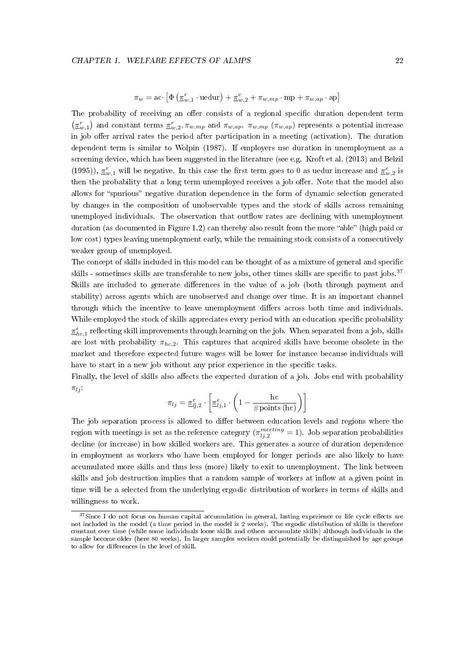$$
\pi_w = \mathrm{ac} \cdot \left[ \Phi \left( \underline{\pi}_{w,1}^r \cdot \mathrm{uedur} \right) + \underline{\pi}_{w,2}^e + \pi_{w,mp} \cdot \mathrm{mp} + \pi_{w,ap} \cdot \mathrm{ap} \right]
$$

The probability of receiving an offer consists of a regional specific duration dependent term  $(\underline{\pi}_{w,1}^r)$  and constant terms  $\underline{\pi}_{w,2}^r, \pi_{w,mp}$  and  $\pi_{w,ap}$ .  $\pi_{w,mp}$  ( $\pi_{w,ap}$ ) represents a potential increase in job offer arrival rates the period after participation in a meeting (activation). The duration dependent term is similar to Wolpin (1987). If employers use duration in unemployment as a screening device, which has been suggested in the literature (see e.g. Kroft et al. (2013) and Belzil (1995)),  $\pi_{w,1}^r$  will be negative. In this case the first term goes to 0 as uedur increase and  $\pi_{w,2}^e$  is then the probability that a long term unemployed receives a job offer. Note that the model also allows for "spurious" negative duration dependence in the form of dynamic selection generated by changes in the composition of unobservable types and the stock of skills across remaining unemployed individuals. The observation that outflow rates are declining with unemployment duration (as documented in Figure 1.2) can thereby also result from the more "able" (high paid or low cost) types leaving unemployment early, while the remaining stock consists of a consecutively weaker group of unemployed.

The concept of skills included in this model can be thought of as a mixture of general and specific skills - sometimes skills are transferable to new jobs, other times skills are specific to past jobs.<sup>37</sup> Skills are included to generate differences in the value of a job (both through payment and stability) across agents which are unobserved and change over time. It is an important channel through which the incentive to leave unemployment differs across both time and individuals. While employed the stock of skills appreciates every period with an education specific probability  $\underline{\pi}^e_{hc,1}$  reflecting skill improvements through learning on the job. When separated from a job, skills are lost with probability  $\pi_{hc,2}$ . This captures that acquired skills have become obsolete in the market and therefore expected future wages will be lower for instance because individuals will have to start in a new job without any prior experience in the specific tasks.

Finally, the level of skills also affects the expected duration of a job. Jobs end with probability  $\pi_{li}$ :

$$
\pi_{lj} = \underline{\pi}_{lj,2}^r \cdot \left[ \underline{\pi}_{lj,1}^e \cdot \left( 1 - \frac{\text{hc}}{\text{\#points (hc)}} \right) \right]
$$

The job separation process is allowed to differ between education levels and regions where the region with meetings is set as the reference category  $(\pi_{lj,2}^{meeting} = 1)$ . Job separation probabilities decline (or increase) in how skilled workers are. This generates a source of duration dependence in employment as workers who have been employed for longer periods are also likely to have accumulated more skills and thus less (more) likely to exit to unemployment. The link between skills and job destruction implies that a random sample of workers at inflow at a given point in time will be a selected from the underlying ergodic distribution of workers in terms of skills and willingness to work.

 $37$ Since I do not focus on human capital accumulation in general, lasting experience or life cycle effects are not included in the model (a time period in the model is 2 weeks). The ergodic distribution of skills is therefore constant over time (while some individuals loose skills and others accumulate skills) although individuals in the sample become older (here 80 weeks). In larger samples workers could potentially be distinguished by age groups to allow for differences in the level of skill.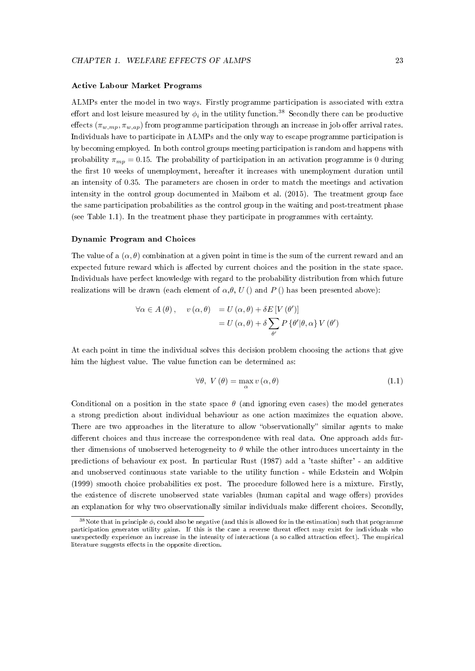#### Active Labour Market Programs

ALMPs enter the model in two ways. Firstly programme participation is associated with extra effort and lost leisure measured by  $\phi_i$  in the utility function.<sup>38</sup> Secondly there can be productive effects  $(\pi_{w,mp}, \pi_{w,ap})$  from programme participation through an increase in job offer arrival rates. Individuals have to participate in ALMPs and the only way to escape programme participation is by becoming employed. In both control groups meeting participation is random and happens with probability  $\pi_{mp} = 0.15$ . The probability of participation in an activation programme is 0 during the first 10 weeks of unemployment, hereafter it increases with unemployment duration until an intensity of 0.35. The parameters are chosen in order to match the meetings and activation intensity in the control group documented in Maibom et al. (2015). The treatment group face the same participation probabilities as the control group in the waiting and post-treatment phase (see Table 1.1). In the treatment phase they participate in programmes with certainty.

### Dynamic Program and Choices

The value of a  $(\alpha, \theta)$  combination at a given point in time is the sum of the current reward and an expected future reward which is affected by current choices and the position in the state space. Individuals have perfect knowledge with regard to the probability distribution from which future realizations will be drawn (each element of  $\alpha, \theta, U$ ) and P () has been presented above):

$$
\forall \alpha \in A(\theta), \quad v(\alpha, \theta) = U(\alpha, \theta) + \delta E[V(\theta')]
$$
  
=  $U(\alpha, \theta) + \delta \sum_{\theta'} P{\theta'|\theta, \alpha} V(\theta')$ 

At each point in time the individual solves this decision problem choosing the actions that give him the highest value. The value function can be determined as:

$$
\forall \theta, \ V(\theta) = \max_{\alpha} v(\alpha, \theta) \tag{1.1}
$$

Conditional on a position in the state space  $\theta$  (and ignoring even cases) the model generates a strong prediction about individual behaviour as one action maximizes the equation above. There are two approaches in the literature to allow "observationally" similar agents to make different choices and thus increase the correspondence with real data. One approach adds further dimensions of unobserved heterogeneity to  $\theta$  while the other introduces uncertainty in the predictions of behaviour ex post. In particular Rust (1987) add a 'taste shifter' - an additive and unobserved continuous state variable to the utility function - while Eckstein and Wolpin (1999) smooth choice probabilities ex post. The procedure followed here is a mixture. Firstly, the existence of discrete unobserved state variables (human capital and wage offers) provides an explanation for why two observationally similar individuals make different choices. Secondly,

<sup>&</sup>lt;sup>38</sup>Note that in principle  $\phi_i$  could also be negative (and this is allowed for in the estimation) such that programme participation generates utility gains. If this is the case a reverse threat effect may exist for individuals who unexpectedly experience an increase in the intensity of interactions (a so called attraction effect). The empirical literature suggests effects in the opposite direction.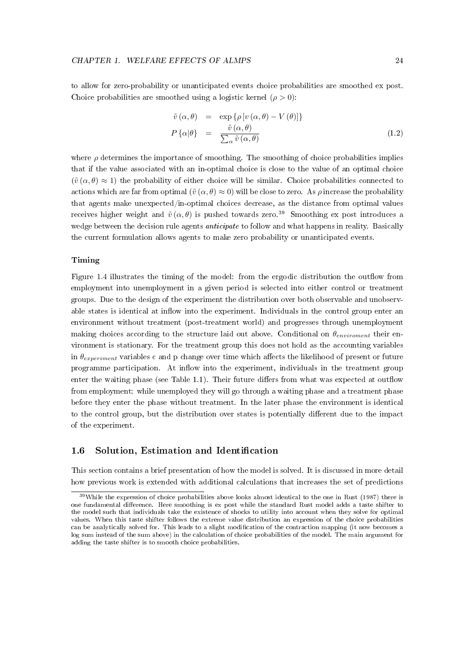to allow for zero-probability or unanticipated events choice probabilities are smoothed ex post. Choice probabilities are smoothed using a logistic kernel  $(\rho > 0)$ :

$$
\tilde{v}(\alpha, \theta) = \exp \{ \rho \left[ v(\alpha, \theta) - V(\theta) \right] \}
$$
\n
$$
P \{ \alpha | \theta \} = \frac{\tilde{v}(\alpha, \theta)}{\sum_{\alpha} \tilde{v}(\alpha, \theta)} \tag{1.2}
$$

where  $\rho$  determines the importance of smoothing. The smoothing of choice probabilities implies that if the value associated with an in-optimal choice is close to the value of an optimal choice  $(\tilde{v}(\alpha, \theta) \approx 1)$  the probability of either choice will be similar. Choice probabilities connected to actions which are far from optimal  $(\tilde{v}(\alpha, \theta) \approx 0)$  will be close to zero. As  $\rho$  increase the probability that agents make unexpected/in-optimal choices decrease, as the distance from optimal values receives higher weight and  $\tilde{v}(\alpha, \theta)$  is pushed towards zero.<sup>39</sup> Smoothing ex post introduces a wedge between the decision rule agents *anticipate* to follow and what happens in reality. Basically the current formulation allows agents to make zero probability or unanticipated events.

# Timing

Figure 1.4 illustrates the timing of the model: from the ergodic distribution the outflow from employment into unemployment in a given period is selected into either control or treatment groups. Due to the design of the experiment the distribution over both observable and unobservable states is identical at inflow into the experiment. Individuals in the control group enter an environment without treatment (post-treatment world) and progresses through unemployment making choices according to the structure laid out above. Conditional on  $\theta_{environment}$  their environment is stationary. For the treatment group this does not hold as the accounting variables in  $\theta_{experiment}$  variables c and p change over time which affects the likelihood of present or future programme participation. At inflow into the experiment, individuals in the treatment group enter the waiting phase (see Table 1.1). Their future differs from what was expected at outflow from employment: while unemployed they will go through a waiting phase and a treatment phase before they enter the phase without treatment. In the later phase the environment is identical to the control group, but the distribution over states is potentially different due to the impact of the experiment.

# 1.6 Solution, Estimation and Identification

This section contains a brief presentation of how the model is solved. It is discussed in more detail how previous work is extended with additional calculations that increases the set of predictions

<sup>39</sup>While the expression of choice probabilities above looks almost identical to the one in Rust (1987) there is one fundamental difference. Here smoothing is ex post while the standard Rust model adds a taste shifter to the model such that individuals take the existence of shocks to utility into account when they solve for optimal values. When this taste shifter follows the extreme value distribution an expression of the choice probabilities can be analytically solved for. This leads to a slight modification of the contraction mapping (it now becomes a log sum instead of the sum above) in the calculation of choice probabilities of the model. The main argument for adding the taste shifter is to smooth choice probabilities.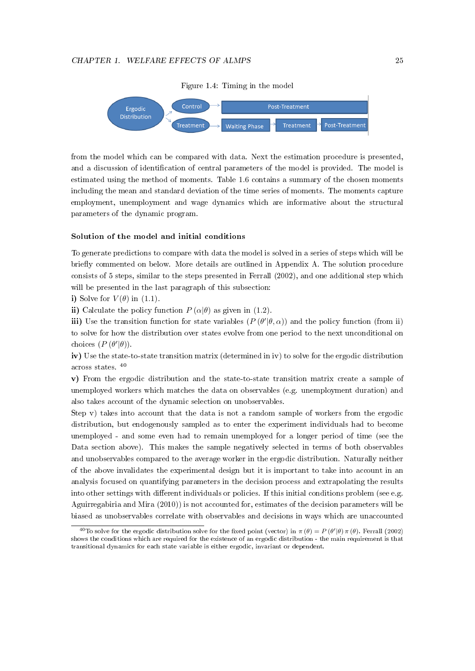Figure 1.4: Timing in the model



from the model which can be compared with data. Next the estimation procedure is presented, and a discussion of identification of central parameters of the model is provided. The model is estimated using the method of moments. Table 1.6 contains a summary of the chosen moments including the mean and standard deviation of the time series of moments. The moments capture employment, unemployment and wage dynamics which are informative about the structural parameters of the dynamic program.

#### Solution of the model and initial conditions

To generate predictions to compare with data the model is solved in a series of steps which will be briefly commented on below. More details are outlined in Appendix A. The solution procedure consists of 5 steps, similar to the steps presented in Ferrall (2002), and one additional step which will be presented in the last paragraph of this subsection:

i) Solve for  $V(\theta)$  in (1.1).

ii) Calculate the policy function  $P(\alpha|\theta)$  as given in (1.2).

iii) Use the transition function for state variables  $(P(\theta'|\theta,\alpha))$  and the policy function (from ii) to solve for how the distribution over states evolve from one period to the next unconditional on choices  $(P(\theta'|\theta))$ .

iv) Use the state-to-state transition matrix (determined in iv) to solve for the ergodic distribution across states. <sup>40</sup>

v) From the ergodic distribution and the state-to-state transition matrix create a sample of unemployed workers which matches the data on observables (e.g. unemployment duration) and also takes account of the dynamic selection on unobservables.

Step v) takes into account that the data is not a random sample of workers from the ergodic distribution, but endogenously sampled as to enter the experiment individuals had to become unemployed - and some even had to remain unemployed for a longer period of time (see the Data section above). This makes the sample negatively selected in terms of both observables and unobservables compared to the average worker in the ergodic distribution. Naturally neither of the above invalidates the experimental design but it is important to take into account in an analysis focused on quantifying parameters in the decision process and extrapolating the results into other settings with different individuals or policies. If this initial conditions problem (see e.g. Aguirregabiria and Mira (2010)) is not accounted for, estimates of the decision parameters will be biased as unobservables correlate with observables and decisions in ways which are unaccounted

<sup>&</sup>lt;sup>40</sup>To solve for the ergodic distribution solve for the fixed point (vector) in  $\pi(\theta) = P(\theta'|\theta) \pi(\theta)$ . Ferrall (2002) shows the conditions which are required for the existence of an ergodic distribution - the main requirement is that transitional dynamics for each state variable is either ergodic, invariant or dependent.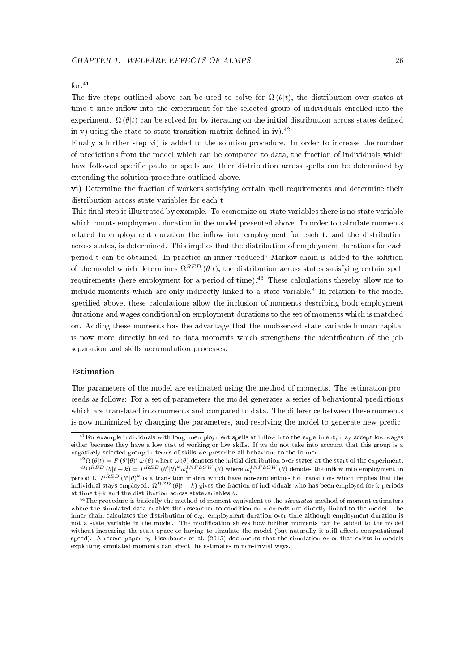for  $41$ 

The five steps outlined above can be used to solve for  $\Omega(\theta|t)$ , the distribution over states at time t since inflow into the experiment for the selected group of individuals enrolled into the experiment.  $\Omega(\theta|t)$  can be solved for by iterating on the initial distribution across states defined in v) using the state-to-state transition matrix defined in iv).  $42$ 

Finally a further step vi) is added to the solution procedure. In order to increase the number of predictions from the model which can be compared to data, the fraction of individuals which have followed specific paths or spells and thier distribution across spells can be determined by extending the solution procedure outlined above.

vi) Determine the fraction of workers satisfying certain spell requirements and determine their distribution across state variables for each t

This final step is illustrated by example. To economize on state variables there is no state variable which counts employment duration in the model presented above. In order to calculate moments related to employment duration the inflow into employment for each t, and the distribution across states, is determined. This implies that the distribution of employment durations for each period t can be obtained. In practice an inner "reduced" Markov chain is added to the solution of the model which determines  $\Omega^{RED}\left(\theta|t\right)$ , the distribution across states satisfying certain spell requirements (here employment for a period of time).<sup>43</sup> These calculations thereby allow me to include moments which are only indirectly linked to a state variable.<sup>44</sup>In relation to the model specified above, these calculations allow the inclusion of moments describing both employment durations and wages conditional on employment durations to the set of moments which is matched on. Adding these moments has the advantage that the unobserved state variable human capital is now more directly linked to data moments which strengthens the identication of the job separation and skills accumulation processes.

# Estimation

The parameters of the model are estimated using the method of moments. The estimation proceeds as follows: For a set of parameters the model generates a series of behavioural predictions which are translated into moments and compared to data. The difference between these moments is now minimized by changing the parameters, and resolving the model to generate new predic-

 $^{41}$  For example individuals with long unemployment spells at inflow into the experiment, may accept low wages either because they have a low cost of working or low skills. If we do not take into account that this group is a negatively selected group in terms of skills we prescribe all behaviour to the former.

 $^{42}\Omega(\theta|t) = P(\theta'|\theta)^t \omega(\theta)$  where  $\omega(\theta)$  denotes the initial distribution over states at the start of the experiment.  $^{43}\Omega^{RED}\left(\theta|t+k\right)=P^{RED}\left(\theta'|\theta\right)^k\omega_{t}^{INFLOW}\left(\theta\right)$  where  $\omega_{t}^{INFLOW}\left(\theta\right)$  denotes the inflow into employment in period t.  $P^{RED}(\theta'|\theta)^k$  is a transition matrix which have non-zero entries for transitions which implies that the individual stays employed.  $\Omega^{RED}(\theta | t + k)$  gives the fraction of individuals who has been employed for k periods at time t+k and the distribution across statevariables  $\theta$ .

<sup>&</sup>lt;sup>44</sup>The procedure is basically the method of moment equivalent to the *simulated* method of moment estimators where the simulated data enables the researcher to condition on moments not directly linked to the model. The inner chain calculates the distribution of e.g. employment duration over time although employment duration is not a state variable in the model. The modification shows how further moments can be added to the model without increasing the state space or having to simulate the model (but naturally it still affects computational speed). A recent paper by Eisenhauer et al. (2015) documents that the simulation error that exists in models exploiting simulated moments can affect the estimates in non-trivial ways.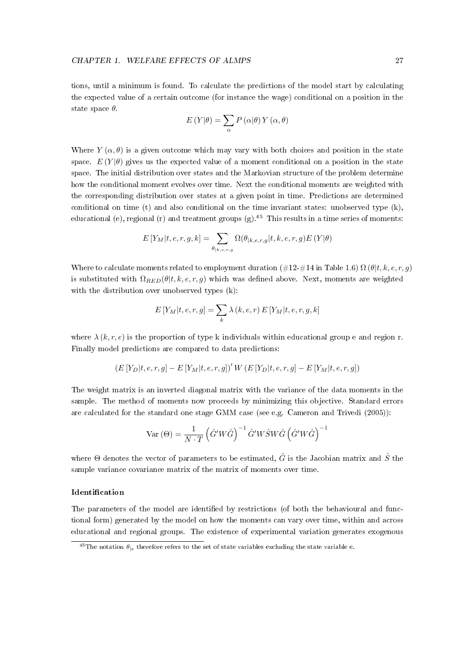tions, until a minimum is found. To calculate the predictions of the model start by calculating the expected value of a certain outcome (for instance the wage) conditional on a position in the state space  $\theta$ .

$$
E(Y|\theta) = \sum_{\alpha} P(\alpha|\theta) Y(\alpha, \theta)
$$

Where  $Y(\alpha, \theta)$  is a given outcome which may vary with both choices and position in the state space.  $E(Y|\theta)$  gives us the expected value of a moment conditional on a position in the state space. The initial distribution over states and the Markovian structure of the problem determine how the conditional moment evolves over time. Next the conditional moments are weighted with the corresponding distribution over states at a given point in time. Predictions are determined conditional on time (t) and also conditional on the time invariant states: unobserved type  $(k)$ , educational (e), regional (r) and treatment groups  $(g)$ .<sup>45</sup> This results in a time series of moments:

$$
E[Y_M|t, e, r, g, k] = \sum_{\theta_{|k, e, r, g}} \Omega(\theta_{|k, e, r, g}|t, k, e, r, g) E(Y|\theta)
$$

Where to calculate moments related to employment duration (#12-#14 in Table 1.6)  $\Omega(\theta|t, k, e, r, q)$ is substituted with  $\Omega_{RED}(\theta|t, k, e, r, q)$  which was defined above. Next, moments are weighted with the distribution over unobserved types (k):

$$
E[Y_M|t,e,r,g] = \sum_{k} \lambda(k,e,r) E[Y_M|t,e,r,g,k]
$$

where  $\lambda(k, r, e)$  is the proportion of type k individuals within educational group e and region r. Finally model predictions are compared to data predictions:

$$
(E[Y_D|t,e,r,g] - E[Y_M|t,e,r,g])'W(E[Y_D|t,e,r,g] - E[Y_M|t,e,r,g])
$$

The weight matrix is an inverted diagonal matrix with the variance of the data moments in the sample. The method of moments now proceeds by minimizing this objective. Standard errors are calculated for the standard one stage GMM case (see e.g. Cameron and Trivedi (2005)):

$$
Var(\Theta) = \frac{1}{N \cdot T} (\hat{G}' W \hat{G})^{-1} \hat{G}' W \hat{S} W \hat{G} (\hat{G}' W \hat{G})^{-1}
$$

where  $\Theta$  denotes the vector of parameters to be estimated,  $\hat{G}$  is the Jacobian matrix and  $\hat{S}$  the sample variance covariance matrix of the matrix of moments over time.

# Identification

The parameters of the model are identified by restrictions (of both the behavioural and functional form) generated by the model on how the moments can vary over time, within and across educational and regional groups. The existence of experimental variation generates exogenous

<sup>&</sup>lt;sup>45</sup>The notation  $\theta_{\parallel e}$  therefore refers to the set of state variables excluding the state variable e.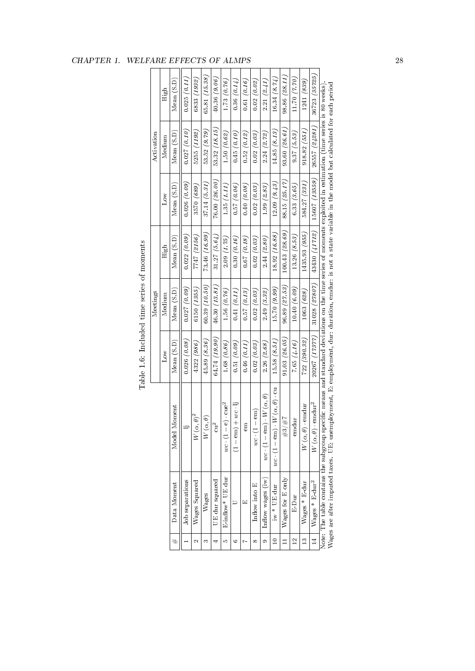|               |                                     |                                                                                                                                                                                                                                                                                                                            |                   | Meetings     |                 |               | Activation    |               |
|---------------|-------------------------------------|----------------------------------------------------------------------------------------------------------------------------------------------------------------------------------------------------------------------------------------------------------------------------------------------------------------------------|-------------------|--------------|-----------------|---------------|---------------|---------------|
|               |                                     |                                                                                                                                                                                                                                                                                                                            | <b>NOT</b>        | Medium       | High            | <b>NOT</b>    | Medium        | High          |
| $\#$          | Data Moment                         | loment<br>Model N                                                                                                                                                                                                                                                                                                          | Mean (S.D)        | Mean (S.D)   | Mean (S.D`      | Mean (S.D)    | Mean (S.D)    | Mean(S.D)     |
|               | Job separations                     |                                                                                                                                                                                                                                                                                                                            | 0.026 (0.08)      | 0.027(0.09)  | 0.022(0.09)     | 0.026 (0.09)  | 0.027(0.10)   | 0.025(0.11)   |
| 2             | Wages Squared                       | $\theta$ <sup>2</sup><br>$W(\alpha,$                                                                                                                                                                                                                                                                                       | 4322 (986)        | 6150(1355)   | 7747 (2156)     | 3570 (689)    | 5255 (1192)   | 6833 (1932)   |
| S             | Wages                               | $W\left(\alpha,\theta\right)$                                                                                                                                                                                                                                                                                              | 45.89 (8.36)      | 60.39(10.50) | 73.46 (16.99)   | 37.14 (5.31)  | 53.52(9.79)   | 65.81(15.38)  |
| 4             | UE dur squared                      | ť                                                                                                                                                                                                                                                                                                                          | 64.74 (19.90)     | 46.30(13.81) | 31.27(5.64)     | 76.00 (26.00) | 53.32 (18.15) | 40.36(9.06)   |
| ĥО            | $E\text{-}\mathrm{inflow}^*$ UE dur | $e) \cdot cue^2$<br>$wc \cdot (1 - \epsilon$                                                                                                                                                                                                                                                                               | 1.68(0.86)        | 1.56(0.76)   | 2.09(1.75)      | 1.35(1.11)    | 1.50(0.62)    | 1.73(0.76)    |
| $\circ$       | $\Box$                              | $(1 - em) + wc \cdot 1$                                                                                                                                                                                                                                                                                                    | 0.51(0.09)        | 0.41(0.11)   | $0.30\; (0.16)$ | 0.57(0.06)    | 0.45(0.10)    | 0.36(0.14)    |
| Ņ             | 囜                                   | g                                                                                                                                                                                                                                                                                                                          | 0.46(0.11)        | 0.57(0.13)   | 0.67(0.18)      | 0.40(0.08)    | 0.52(0.12)    | 0.61 (0.16)   |
| ∞             | Inflow into E                       | $wc \cdot (1 - em)$                                                                                                                                                                                                                                                                                                        | 0.02(0.03)        | 0.02(0.03)   | 0.02(0.03)      | 0.02(0.03)    | 0.02(0.03)    | 0.02(0.02)    |
| $\circ$       | Inflow wages (iw)                   | $wc \cdot (1 - em) \cdot W (\alpha, \theta)$                                                                                                                                                                                                                                                                               | 2.26(2.68)        | 2.49(3.32)   | 2.44(2.80)      | 1.99(2.83)    | 2.24(2.72)    | 2.21(2.41)    |
| $\Xi$         | $iw * UE dw$                        | $wc\cdot(1-\text{em})\cdot W\left(\alpha,\theta\right)\cdot\text{cu}$                                                                                                                                                                                                                                                      | 15.58(8.51)       | 15.70 (9.99) | 18.92 (16.88)   | 12.09(9.43)   | 14.85(8.13)   | 16.34(8.74)   |
|               | Wages for E only                    | #3/#7                                                                                                                                                                                                                                                                                                                      | $91.03$ $(26.05)$ | 96.89(27.53) | 100.43(28.69)   | 88.15 (25.17) | 93.60(26.61)  | 98.86 (28.11) |
| $^{12}$       | E Dur                               | emdur                                                                                                                                                                                                                                                                                                                      | 7.65(4.16)        | 10.40(6.09)  | 13.26(8.53)     | 6.33(3.65)    | 9.37(5.53)    | 11.70(7.70)   |
| $\mathbf{r}$  | $Wages * E dur$                     | emdur<br>$W(\alpha, \theta)$ .                                                                                                                                                                                                                                                                                             | 722(390.32)       | 1063 (628)   | 1435.93 (955)   | 584.27 (331)  | 918.82(551)   | 1241 (839)    |
| $\frac{4}{1}$ | $Wages * E dur2$                    | $W\left(\alpha,\theta\right)\cdot\mathrm{endur}^{2}$                                                                                                                                                                                                                                                                       | 20267 (17377)     | 31028(27807) | 43430 (41712)   | 15607 (13559) | 26557 (24281) | 36723 (35725) |
|               |                                     | Wages are after imputed taxes. UE: unemployment, B: employment, dur: duration, emdur: is not a state variable in the model but calculated for each period<br>Note: The table contains the subgroup specific means and standard deviations on the time series of moments exploited in estimation (time series is 80 weeks). |                   |              |                 |               |               |               |

Table 1.6: Included time series of moments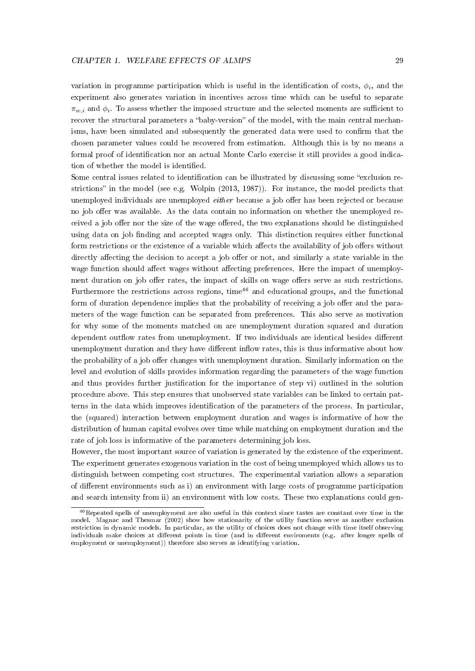variation in programme participation which is useful in the identification of costs,  $\phi_i$ , and the experiment also generates variation in incentives across time which can be useful to separate  $\pi_{w,i}$  and  $\phi_i$ . To assess whether the imposed structure and the selected moments are sufficient to recover the structural parameters a "baby-version" of the model, with the main central mechanisms, have been simulated and subsequently the generated data were used to confirm that the chosen parameter values could be recovered from estimation. Although this is by no means a formal proof of identification nor an actual Monte Carlo exercise it still provides a good indication of whether the model is identified.

Some central issues related to identification can be illustrated by discussing some "exclusion restrictions" in the model (see e.g. Wolpin  $(2013, 1987)$ ). For instance, the model predicts that unemployed individuals are unemployed *either* because a job offer has been rejected or because no job offer was available. As the data contain no information on whether the unemployed received a job offer nor the size of the wage offered, the two explanations should be distinguished using data on job finding and accepted wages only. This distinction requires either functional form restrictions or the existence of a variable which affects the availability of job offers without directly affecting the decision to accept a job offer or not, and similarly a state variable in the wage function should affect wages without affecting preferences. Here the impact of unemployment duration on job offer rates, the impact of skills on wage offers serve as such restrictions. Furthermore the restrictions across regions, time<sup>46</sup> and educational groups, and the functional form of duration dependence implies that the probability of receiving a job offer and the parameters of the wage function can be separated from preferences. This also serve as motivation for why some of the moments matched on are unemployment duration squared and duration dependent outflow rates from unemployment. If two individuals are identical besides different unemployment duration and they have different inflow rates, this is thus informative about how the probability of a job offer changes with unemployment duration. Similarly information on the level and evolution of skills provides information regarding the parameters of the wage function and thus provides further justification for the importance of step vi) outlined in the solution procedure above. This step ensures that unobserved state variables can be linked to certain patterns in the data which improves identification of the parameters of the process. In particular, the (squared) interaction between employment duration and wages is informative of how the distribution of human capital evolves over time while matching on employment duration and the rate of job loss is informative of the parameters determining job loss.

However, the most important source of variation is generated by the existence of the experiment. The experiment generates exogenous variation in the cost of being unemployed which allows us to distinguish between competing cost structures. The experimental variation allows a separation of different environments such as i) an environment with large costs of programme participation and search intensity from ii) an environment with low costs. These two explanations could gen-

<sup>46</sup>Repeated spells of unemployment are also useful in this context since tastes are constant over time in the model. Magnac and Thesmar (2002) show how stationarity of the utility function serve as another exclusion restriction in dynamic models. In particular, as the utility of choices does not change with time itself observing individuals make choices at different points in time (and in different enviroments (e.g. after longer spells of employment or unemployment)) therefore also serves as identifying variation.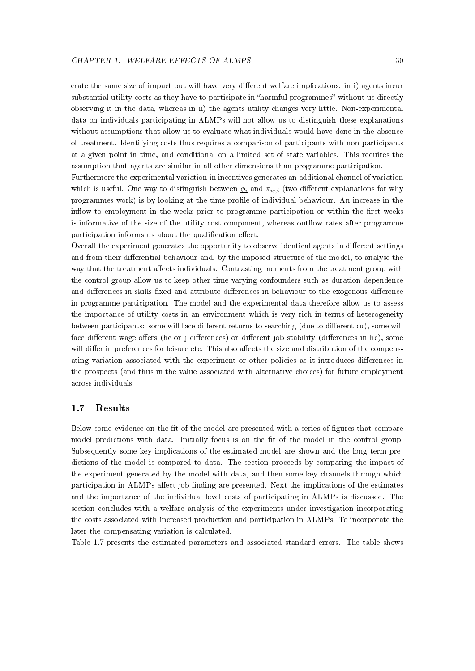erate the same size of impact but will have very different welfare implications: in i) agents incur substantial utility costs as they have to participate in "harmful programmes" without us directly observing it in the data, whereas in ii) the agents utility changes very little. Non-experimental data on individuals participating in ALMPs will not allow us to distinguish these explanations without assumptions that allow us to evaluate what individuals would have done in the absence of treatment. Identifying costs thus requires a comparison of participants with non-participants at a given point in time, and conditional on a limited set of state variables. This requires the assumption that agents are similar in all other dimensions than programme participation.

Furthermore the experimental variation in incentives generates an additional channel of variation which is useful. One way to distinguish between  $\phi_i$  and  $\pi_{w,i}$  (two different explanations for why programmes work) is by looking at the time profile of individual behaviour. An increase in the inflow to employment in the weeks prior to programme participation or within the first weeks is informative of the size of the utility cost component, whereas outflow rates after programme participation informs us about the qualification effect.

Overall the experiment generates the opportunity to observe identical agents in different settings and from their differential behaviour and, by the imposed structure of the model, to analyse the way that the treatment affects individuals. Contrasting moments from the treatment group with the control group allow us to keep other time varying confounders such as duration dependence and differences in skills fixed and attribute differences in behaviour to the exogenous difference in programme participation. The model and the experimental data therefore allow us to assess the importance of utility costs in an environment which is very rich in terms of heterogeneity between participants: some will face different returns to searching (due to different cu), some will face different wage offers (hc or j differences) or different job stability (differences in hc), some will differ in preferences for leisure etc. This also affects the size and distribution of the compensating variation associated with the experiment or other policies as it introduces differences in the prospects (and thus in the value associated with alternative choices) for future employment across individuals.

### 1.7 Results

Below some evidence on the fit of the model are presented with a series of figures that compare model predictions with data. Initially focus is on the fit of the model in the control group. Subsequently some key implications of the estimated model are shown and the long term predictions of the model is compared to data. The section proceeds by comparing the impact of the experiment generated by the model with data, and then some key channels through which participation in ALMPs affect job finding are presented. Next the implications of the estimates and the importance of the individual level costs of participating in ALMPs is discussed. The section concludes with a welfare analysis of the experiments under investigation incorporating the costs associated with increased production and participation in ALMPs. To incorporate the later the compensating variation is calculated.

Table 1.7 presents the estimated parameters and associated standard errors. The table shows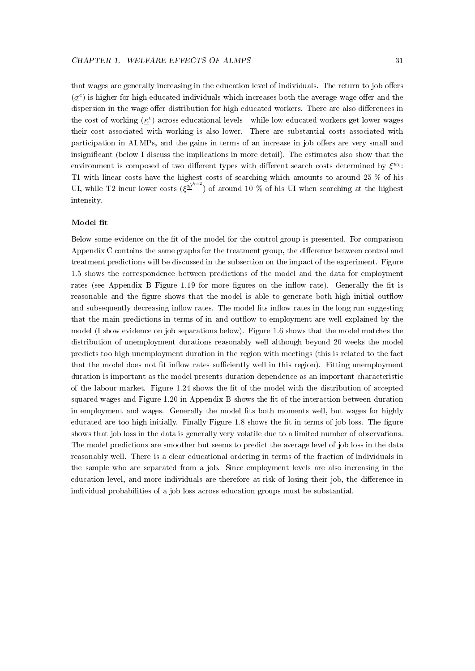that wages are generally increasing in the education level of individuals. The return to job offers  $(\underline{\sigma}^e)$  is higher for high educated individuals which increases both the average wage offer and the dispersion in the wage offer distribution for high educated workers. There are also differences in the cost of working  $(\underline{\kappa}^e)$  across educational levels - while low educated workers get lower wages their cost associated with working is also lower. There are substantial costs associated with participation in ALMPs, and the gains in terms of an increase in job offers are very small and insignificant (below I discuss the implications in more detail). The estimates also show that the environment is composed of two different types with different search costs determined by  $\xi^{\psi_k}$ : T1 with linear costs have the highest costs of searching which amounts to around 25 % of his UI, while T2 incur lower costs  $(\xi^{\psi^{k=2}})$  of around 10 % of his UI when searching at the highest intensity.

# Model fit

Below some evidence on the fit of the model for the control group is presented. For comparison Appendix  $C$  contains the same graphs for the treatment group, the difference between control and treatment predictions will be discussed in the subsection on the impact of the experiment. Figure 1.5 shows the correspondence between predictions of the model and the data for employment rates (see Appendix B Figure 1.19 for more figures on the inflow rate). Generally the fit is reasonable and the figure shows that the model is able to generate both high initial outflow and subsequently decreasing inflow rates. The model fits inflow rates in the long run suggesting that the main predictions in terms of in and outflow to employment are well explained by the model (I show evidence on job separations below). Figure 1.6 shows that the model matches the distribution of unemployment durations reasonably well although beyond 20 weeks the model predicts too high unemployment duration in the region with meetings (this is related to the fact that the model does not fit inflow rates sufficiently well in this region). Fitting unemployment duration is important as the model presents duration dependence as an important characteristic of the labour market. Figure 1.24 shows the fit of the model with the distribution of accepted squared wages and Figure 1.20 in Appendix B shows the fit of the interaction between duration in employment and wages. Generally the model fits both moments well, but wages for highly educated are too high initially. Finally Figure 1.8 shows the fit in terms of job loss. The figure shows that job loss in the data is generally very volatile due to a limited number of observations. The model predictions are smoother but seems to predict the average level of job loss in the data reasonably well. There is a clear educational ordering in terms of the fraction of individuals in the sample who are separated from a job. Since employment levels are also increasing in the education level, and more individuals are therefore at risk of losing their job, the difference in individual probabilities of a job loss across education groups must be substantial.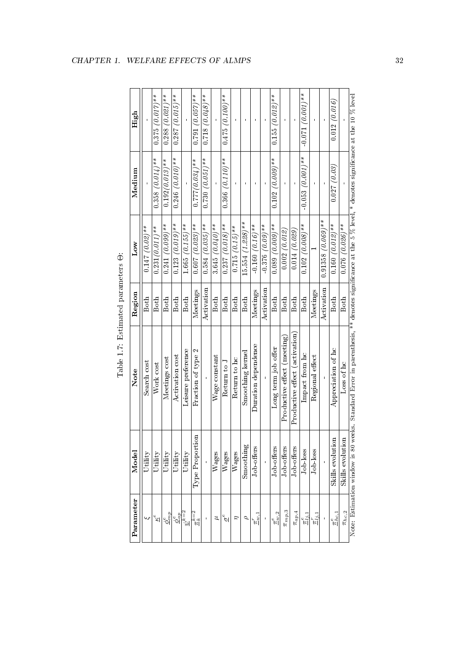| Parameter                        | Model                         | Note                                                                                                                           | Region      | $_{\rm Low}$         | Medium             | High                 |
|----------------------------------|-------------------------------|--------------------------------------------------------------------------------------------------------------------------------|-------------|----------------------|--------------------|----------------------|
| w                                | Utility                       | Search cost                                                                                                                    | <b>Both</b> | $0.147(0.02)$ **     |                    |                      |
| $\overset{\circ}{\approx}$       | Utility                       | Work cost                                                                                                                      | Both        | $0.231(0.011)$ **    | $0.358~(0.014)$ ** | $0.375 (0.017)$ **   |
| $\varphi_{mp}^e$                 | Utility                       | Meetings cost                                                                                                                  | Both        | $0.241(0.099)$ **    | $0.192(0.013)$ **  | $0.288$ $(0.021)$ ** |
| $\frac{\phi_{ap}^e}{\psi^{k=2}}$ | Utility                       | Activation cost                                                                                                                | Both        | $0.123 (0.019)$ **   | $0.246 (0.010)$ ** | $0.287 (0.015)$ **   |
|                                  | Utility                       | Leisure preference                                                                                                             | Both        | $1.665 (0.155)$ **   |                    |                      |
| $\frac{k=2}{\pi k}$              | $Type\ Proportion$            | Fraction of type 2                                                                                                             | Meetings    | $0.607(0.023)$ **    | $0.777(0.034)$ **  | $0.791 (0.057)$ **   |
|                                  |                               |                                                                                                                                | Activation  | $0.584$ $(0.035)$ ** | $0.730(0.051)$ **  | $0.718~(0.048)$ **   |
| ュ                                | Wages                         | Wage constant                                                                                                                  | Both        | $3.645(0.040)$ **    |                    |                      |
| $\mathfrak{g}^{\mathfrak{e}}$    | Wages                         | Return to J                                                                                                                    | Both        | $0.237(0.018)$ **    | $0.366 (0.110)$ ** | $0.475(0.100)**$     |
| $\overline{a}$                   | Wages                         | Return to ho                                                                                                                   | <b>Both</b> | $0.715 (0.15)$ **    |                    |                      |
| ρ                                | Smoothing                     | Smoothing kernel                                                                                                               | <b>Both</b> | $15.554 (1.228)$ **  |                    | $\mathbf{I}$         |
| $\pi_w^r$ .1                     | Job offers                    | Duration dependence                                                                                                            | Meetings    | $0.160(0.16)$ **     |                    |                      |
|                                  |                               |                                                                                                                                | Activation  | $-0.376$ $(0.09)$ ** |                    |                      |
| $\frac{\pi^e}{\omega}$ .2        | Job-offers                    | Long term job offer                                                                                                            | Both        | $0.089(0.009)$ **    | $0.102(0.009)$ **  | $0.155~(0.012)**$    |
| $\pi_{mp,3}$                     | Job-offers                    | Productive effect (meeting)                                                                                                    | <b>Both</b> | $0.002$ $(0.012)$    |                    |                      |
| $\pi_{ap,\,4}$                   | Job-offers                    | Productive effect (activation)                                                                                                 | <b>Both</b> | 0.014~(0.029)        |                    |                      |
| $\pi_{i,j,1}^e$                  | $Job-loss$                    | Impact from hc                                                                                                                 | Both        | $0.102 (0.008)$ **   | $0.053 (0.001)$ ** | $-0.071(0.001)$ **   |
| $\bar{\pi}_{i,1}^r$              | Job-loss                      | Regional effect                                                                                                                | Meetings    |                      |                    |                      |
|                                  |                               |                                                                                                                                | Activation  | $0.91358 (0.069)$ ** |                    |                      |
| $\frac{\pi^e_{hc,1}}{\pi^e}$     | g<br>Skills evolutio          | Appreciation of hc                                                                                                             | Both        | $0.160~(0.012)**$    | $0.027\ (0.03)$    | $0.012 \; (0.016)$   |
| $\pi_{hc,2}$                     | g<br>Skills evolutic          | Loss of <sub>hc</sub>                                                                                                          | <b>Both</b> | $0.076$ $(0.026)$ ** |                    |                      |
|                                  | Note: Estimation window is 80 | weeks. Standard Error in parenthesis, ** denotes significance at the 5 $\%$ level, * denotes significance at the 10 $\%$ level |             |                      |                    |                      |

Table 1.7: Estimated parameters Table 1.7: Estimated parameters  $\Theta$ :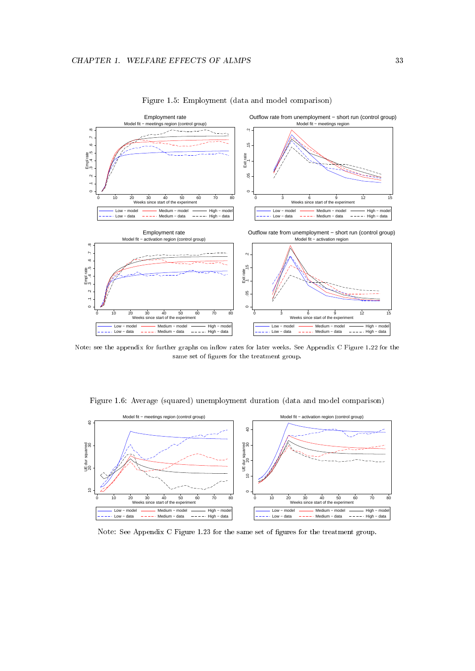

Figure 1.5: Employment (data and model comparison)

Note: see the appendix for further graphs on inflow rates for later weeks. See Appendix C Figure 1.22 for the same set of figures for the treatment group.

Figure 1.6: Average (squared) unemployment duration (data and model comparison)



Note: See Appendix C Figure 1.23 for the same set of figures for the treatment group.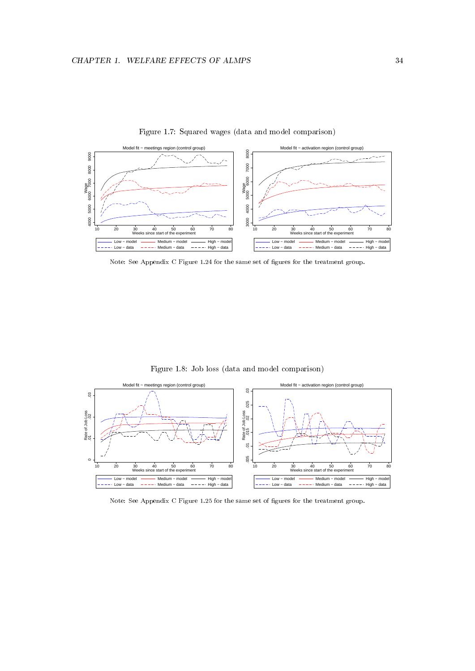

Figure 1.7: Squared wages (data and model comparison)

Note: See Appendix C Figure 1.24 for the same set of figures for the treatment group.





Note: See Appendix C Figure 1.25 for the same set of figures for the treatment group.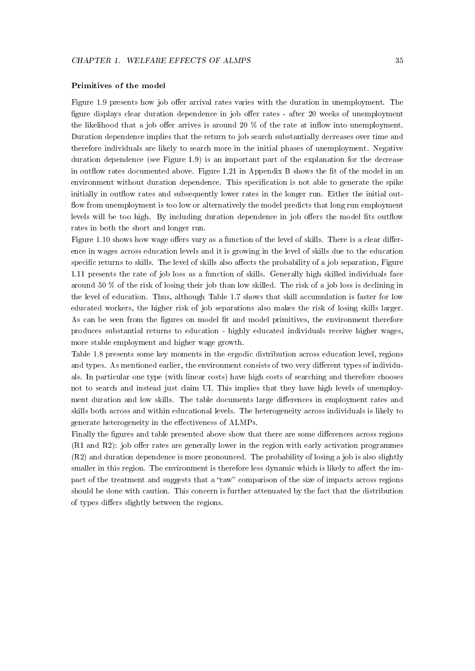#### Primitives of the model

Figure 1.9 presents how job offer arrival rates varies with the duration in unemployment. The figure displays clear duration dependence in job offer rates - after 20 weeks of unemployment the likelihood that a job offer arrives is around 20  $\%$  of the rate at inflow into unemployment. Duration dependence implies that the return to job search substantially decreases over time and therefore individuals are likely to search more in the initial phases of unemployment. Negative duration dependence (see Figure 1.9) is an important part of the explanation for the decrease in outflow rates documented above. Figure 1.21 in Appendix B shows the fit of the model in an environment without duration dependence. This specification is not able to generate the spike initially in outflow rates and subsequently lower rates in the longer run. Either the initial outflow from unemployment is too low or alternatively the model predicts that long run employment levels will be too high. By including duration dependence in job offers the model fits outflow rates in both the short and longer run.

Figure 1.10 shows how wage offers vary as a function of the level of skills. There is a clear difference in wages across education levels and it is growing in the level of skills due to the education specific returns to skills. The level of skills also affects the probability of a job separation, Figure 1.11 presents the rate of job loss as a function of skills. Generally high skilled individuals face around 50 % of the risk of losing their job than low skilled. The risk of a job loss is declining in the level of education. Thus, although Table 1.7 shows that skill accumulation is faster for low educated workers, the higher risk of job separations also makes the risk of losing skills larger. As can be seen from the figures on model fit and model primitives, the environment therefore produces substantial returns to education - highly educated individuals receive higher wages, more stable employment and higher wage growth.

Table 1.8 presents some key moments in the ergodic distribution across education level, regions and types. As mentioned earlier, the environment consists of two very different types of individuals. In particular one type (with linear costs) have high costs of searching and therefore chooses not to search and instead just claim UI. This implies that they have high levels of unemployment duration and low skills. The table documents large differences in employment rates and skills both across and within educational levels. The heterogeneity across individuals is likely to generate heterogeneity in the effectiveness of ALMPs.

Finally the figures and table presented above show that there are some differences across regions  $(R1 \text{ and } R2)$ : job offer rates are generally lower in the region with early activation programmes (R2) and duration dependence is more pronounced. The probability of losing a job is also slightly smaller in this region. The environment is therefore less dynamic which is likely to affect the impact of the treatment and suggests that a "raw" comparison of the size of impacts across regions should be done with caution. This concern is further attenuated by the fact that the distribution of types differs slightly between the regions.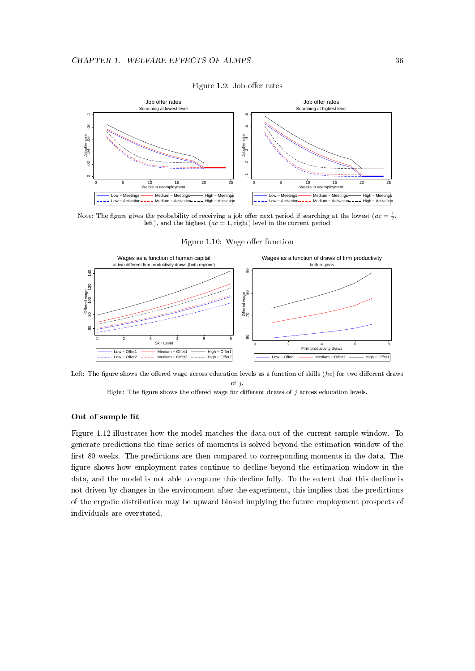

Figure 1.9: Job offer rates

Note: The figure gives the probability of receiving a job offer next period if searching at the lowest  $(ac = \frac{1}{7},$ left), and the highest  $(ac = 1,$  right) level in the current period

Figure 1.10: Wage offer function



Left: The figure shows the offered wage across education levels as a function of skills  $(hc)$  for two different draws of j.

Right: The figure shows the offered wage for different draws of  $j$  across education levels.

# Out of sample fit

Figure 1.12 illustrates how the model matches the data out of the current sample window. To generate predictions the time series of moments is solved beyond the estimation window of the first 80 weeks. The predictions are then compared to corresponding moments in the data. The figure shows how employment rates continue to decline beyond the estimation window in the data, and the model is not able to capture this decline fully. To the extent that this decline is not driven by changes in the environment after the experiment, this implies that the predictions of the ergodic distribution may be upward biased implying the future employment prospects of individuals are overstated.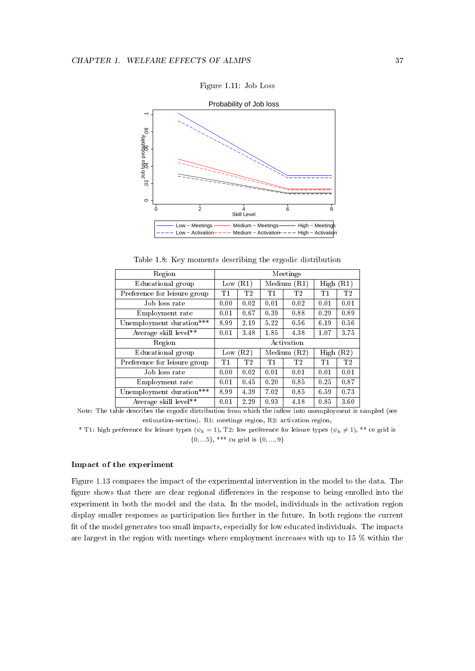Figure 1.11: Job Loss



Table 1.8: Key moments describing the ergodic distribution

| Region                       |      |                |      | Meetings       |      |                |
|------------------------------|------|----------------|------|----------------|------|----------------|
| Educational group            | Low  | (R1)           |      | Median(R1)     | High | (R1)           |
| Preference for leisure group | Τ1   | T <sub>2</sub> | T1   | T <sub>2</sub> | Τ1   | T <sub>2</sub> |
| Job loss rate                | 0.00 | 0.02           | 0.01 | 0.02           | 0.01 | 0.01           |
| Employment rate              | 0.01 | 0.67           | 0.39 | 0.88           | 0.29 | 0.89           |
| Unemployment duration***     | 8.99 | 2.19           | 5.22 | 0.56           | 6.19 | 0.56           |
| Average skill level**        | 0.01 | 3.48           | 1.85 | 4.38           | 1.07 | 3.75           |
| Region                       |      |                |      | Activation     |      |                |
| Educational group            | Low  | (R2)           |      | Medium $(R2)$  | High | (R2)           |
| Preference for leisure group | T1   | T <sub>2</sub> | T1   | T <sub>2</sub> | T1   | T <sub>2</sub> |
| Job loss rate                | 0.00 | 0.02           | 0.01 | 0.01           | 0.01 | 0.01           |
| Employment rate              | 0.01 | 0.45           | 0.20 | 0.85           | 0.25 | 0.87           |
| Unemployment duration***     | 8.99 | 4.39           | 7.02 | 0.85           | 6.59 | 0.73           |
| Average skill level**        | 0.01 | 2.29           | 0.93 | 4.18           | 0.85 | 3.60           |

Note: The table describes the ergodic distribution from which the inflow into unemployment is sampled (see estimation-section). R1: meetings region, R2: activation region,

\* T1: high preference for leisure types  $(\psi_k = 1)$ , T2: low preference for leisure types  $(\psi_k \neq 1)$ , \*\* ce grid is {0, ...5}, \*\*\* cu grid is {0, ..., 9}

#### Impact of the experiment

Figure 1.13 compares the impact of the experimental intervention in the model to the data. The figure shows that there are clear regional differences in the response to being enrolled into the experiment in both the model and the data. In the model, individuals in the activation region display smaller responses as participation lies further in the future. In both regions the current t of the model generates too small impacts, especially for low educated individuals. The impacts are largest in the region with meetings where employment increases with up to 15 % within the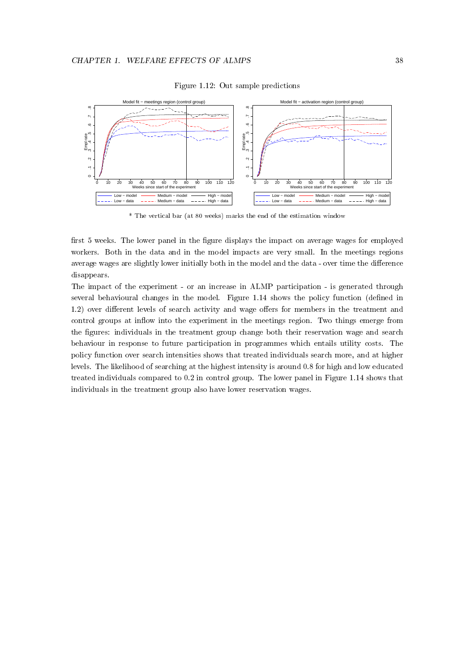

Figure 1.12: Out sample predictions

\* The vertical bar (at 80 weeks) marks the end of the estimation window

first 5 weeks. The lower panel in the figure displays the impact on average wages for employed workers. Both in the data and in the model impacts are very small. In the meetings regions average wages are slightly lower initially both in the model and the data - over time the difference disappears.

The impact of the experiment - or an increase in ALMP participation - is generated through several behavioural changes in the model. Figure 1.14 shows the policy function (defined in 1.2) over different levels of search activity and wage offers for members in the treatment and control groups at inflow into the experiment in the meetings region. Two things emerge from the figures: individuals in the treatment group change both their reservation wage and search behaviour in response to future participation in programmes which entails utility costs. The policy function over search intensities shows that treated individuals search more, and at higher levels. The likelihood of searching at the highest intensity is around 0.8 for high and low educated treated individuals compared to 0.2 in control group. The lower panel in Figure 1.14 shows that individuals in the treatment group also have lower reservation wages.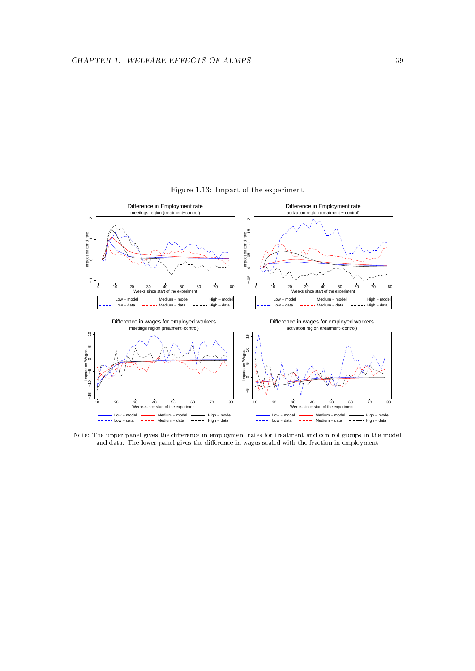Figure 1.13: Impact of the experiment



Note: The upper panel gives the difference in employment rates for treatment and control groups in the model and data. The lower panel gives the difference in wages scaled with the fraction in employment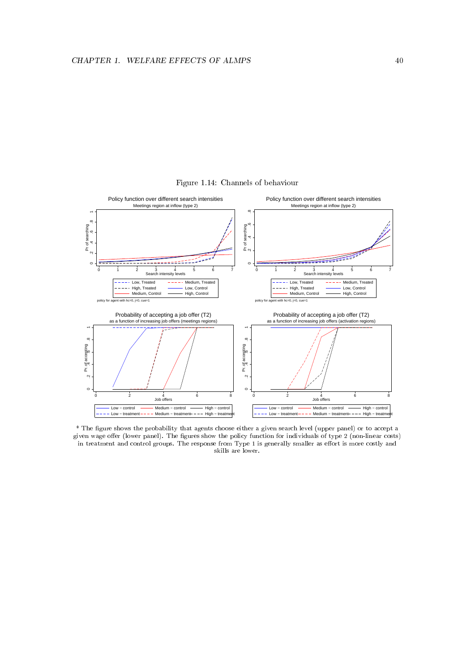



\* The figure shows the probability that agents choose either a given search level (upper panel) or to accept a given wage offer (lower panel). The figures show the policy function for individuals of type 2 (non-linear costs) in treatment and control groups. The response from Type 1 is generally smaller as effort is more costly and skills are lower.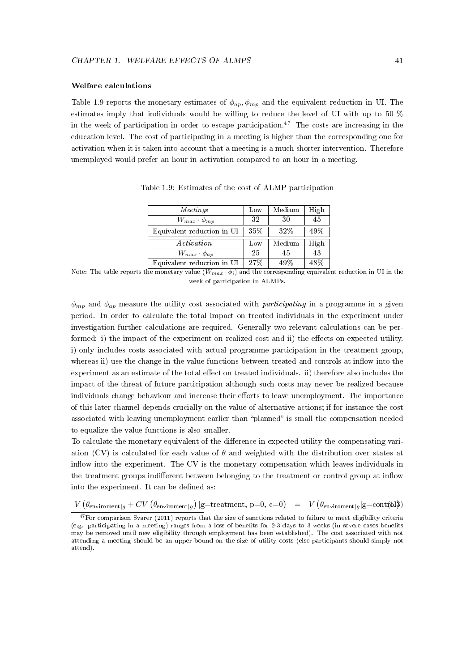## Welfare calculations

Table 1.9 reports the monetary estimates of  $\phi_{ap}, \phi_{mp}$  and the equivalent reduction in UI. The estimates imply that individuals would be willing to reduce the level of UI with up to 50 % in the week of participation in order to escape participation.<sup>47</sup> The costs are increasing in the education level. The cost of participating in a meeting is higher than the corresponding one for activation when it is taken into account that a meeting is a much shorter intervention. Therefore unemployed would prefer an hour in activation compared to an hour in a meeting.

| Meetings                   | Low | Medium | High |
|----------------------------|-----|--------|------|
| $W_{max} \cdot \phi_{mp}$  | 32  | 30     | 45   |
| Equivalent reduction in UI | 35% | 32%    | 49%  |
| Activation                 | Low | Medium | High |
| $W_{max} \cdot \phi_{ap}$  | 25  | 45     | 43   |
| Equivalent reduction in UI | 27% | $49\%$ | 48%  |

Table 1.9: Estimates of the cost of ALMP participation

 $\phi_{mp}$  and  $\phi_{ap}$  measure the utility cost associated with *participating* in a programme in a given period. In order to calculate the total impact on treated individuals in the experiment under investigation further calculations are required. Generally two relevant calculations can be performed: i) the impact of the experiment on realized cost and ii) the effects on expected utility. i) only includes costs associated with actual programme participation in the treatment group, whereas ii) use the change in the value functions between treated and controls at inflow into the experiment as an estimate of the total effect on treated individuals. ii) therefore also includes the impact of the threat of future participation although such costs may never be realized because individuals change behaviour and increase their efforts to leave unemployment. The importance of this later channel depends crucially on the value of alternative actions; if for instance the cost associated with leaving unemployment earlier than "planned" is small the compensation needed to equalize the value functions is also smaller.

To calculate the monetary equivalent of the difference in expected utility the compensating variation (CV) is calculated for each value of  $\theta$  and weighted with the distribution over states at inflow into the experiment. The CV is the monetary compensation which leaves individuals in the treatment groups indifferent between belonging to the treatment or control group at inflow into the experiment. It can be defined as:

 $V\left(\theta_{\text{environment}|g}+CV\left(\theta_{\text{environment}|g}\right)|\text{g=treatment},\text{ p=0, c=0}\right) = V\left(\theta_{\text{environment}|g}|\text{g=cont(bl)}\right)$ 

Note: The table reports the monetary value  $(W_{max} \cdot \phi_i)$  and the corresponding equivalent reduction in UI in the week of participation in ALMPs.

 $\frac{1}{47}$  For comparison Svarer (2011) reports that the size of sanctions related to failure to meet eligibility criteria (e.g. participating in a meeting) ranges from a loss of benets for 2-3 days to 3 weeks (in severe cases benets may be removed until new eligibility through employment has been established). The cost associated with not attending a meeting should be an upper bound on the size of utility costs (else participants should simply not attend).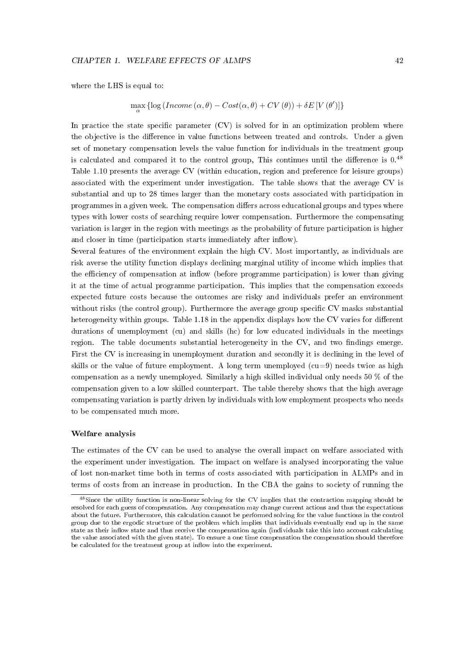where the LHS is equal to:

$$
\max_{\alpha} \left\{ \log \left( Income\left(\alpha,\theta\right)-Cost(\alpha,\theta)+CV\left(\theta\right) \right)+\delta E\left[V\left(\theta^{\prime}\right)\right] \right\}
$$

In practice the state specific parameter  $(CV)$  is solved for in an optimization problem where the objective is the difference in value functions between treated and controls. Under a given set of monetary compensation levels the value function for individuals in the treatment group is calculated and compared it to the control group, This continues until the difference is  $0<sup>.48</sup>$ Table 1.10 presents the average CV (within education, region and preference for leisure groups) associated with the experiment under investigation. The table shows that the average CV is substantial and up to 28 times larger than the monetary costs associated with participation in programmes in a given week. The compensation differs across educational groups and types where types with lower costs of searching require lower compensation. Furthermore the compensating variation is larger in the region with meetings as the probability of future participation is higher and closer in time (participation starts immediately after inflow).

Several features of the environment explain the high CV. Most importantly, as individuals are risk averse the utility function displays declining marginal utility of income which implies that the efficiency of compensation at inflow (before programme participation) is lower than giving it at the time of actual programme participation. This implies that the compensation exceeds expected future costs because the outcomes are risky and individuals prefer an environment without risks (the control group). Furthermore the average group specific CV masks substantial heterogeneity within groups. Table 1.18 in the appendix displays how the CV varies for different durations of unemployment (cu) and skills (hc) for low educated individuals in the meetings region. The table documents substantial heterogeneity in the CV, and two findings emerge. First the CV is increasing in unemployment duration and secondly it is declining in the level of skills or the value of future employment. A long term unemployed (cu=9) needs twice as high compensation as a newly unemployed. Similarly a high skilled individual only needs 50 % of the compensation given to a low skilled counterpart. The table thereby shows that the high average compensating variation is partly driven by individuals with low employment prospects who needs to be compensated much more.

#### Welfare analysis

The estimates of the CV can be used to analyse the overall impact on welfare associated with the experiment under investigation. The impact on welfare is analysed incorporating the value of lost non-market time both in terms of costs associated with participation in ALMPs and in terms of costs from an increase in production. In the CBA the gains to society of running the

 $48$ Since the utility function is non-linear solving for the CV implies that the contraction mapping should be resolved for each guess of compensation. Any compensation may change current actions and thus the expectations about the future. Furthermore, this calculation cannot be performed solving for the value functions in the control group due to the ergodic structure of the problem which implies that individuals eventually end up in the same state as their inflow state and thus receive the compensation again (individuals take this into account calculating the value associated with the given state). To ensure a one time compensation the compensation should therefore be calculated for the treatment group at inflow into the experiment.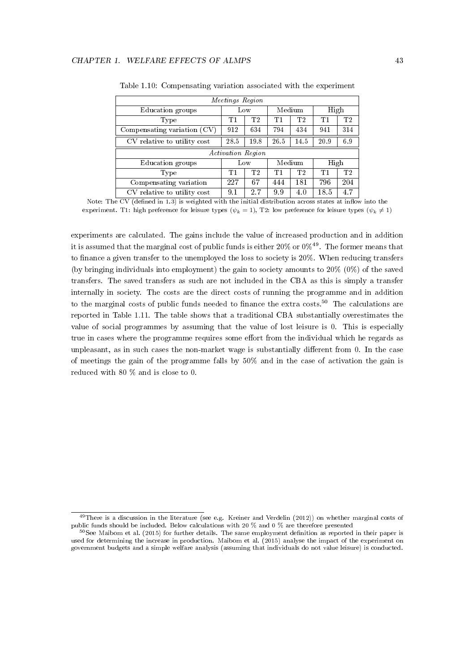|                               | Meetings Region |                |                |                |      |                |  |
|-------------------------------|-----------------|----------------|----------------|----------------|------|----------------|--|
| <b>Education</b> groups       |                 | Low            |                | Medium         | High |                |  |
| Type                          | T1              | T2             | T <sub>1</sub> | T <sub>2</sub> | T1   | T2             |  |
| Compensating variation $(CV)$ | 912             | 634            | 794            | 434            | 941  | 314            |  |
| CV relative to utility cost   | 28.5            | 19.8           | 26.5           | 14.5           | 20.9 | 6.9            |  |
| Activation Region             |                 |                |                |                |      |                |  |
| <b>Education</b> groups       |                 | Low            | High<br>Medium |                |      |                |  |
| Type                          | T1              | T <sub>2</sub> | T1             | T <sub>2</sub> | T1   | T <sub>2</sub> |  |
| Compensating variation        | 227             | 67             | 444            | 181            | 796  | 204            |  |
| CV relative to utility cost   | 9.1             | 2.7            | 9.9            | 4.0            | 18.5 | 4.7            |  |

Table 1.10: Compensating variation associated with the experiment

Note: The CV (defined in 1.3) is weighted with the initial distribution across states at inflow into the experiment. T1: high preference for leisure types ( $\psi_k = 1$ ), T2: low preference for leisure types ( $\psi_k \neq 1$ )

experiments are calculated. The gains include the value of increased production and in addition it is assumed that the marginal cost of public funds is either  $20\%$  or  $0\%$ <sup>49</sup>. The former means that to finance a given transfer to the unemployed the loss to society is 20%. When reducing transfers (by bringing individuals into employment) the gain to society amounts to  $20\%$  (0%) of the saved transfers. The saved transfers as such are not included in the CBA as this is simply a transfer internally in society. The costs are the direct costs of running the programme and in addition to the marginal costs of public funds needed to finance the extra costs. $^{50}$  The calculations are reported in Table 1.11. The table shows that a traditional CBA substantially overestimates the value of social programmes by assuming that the value of lost leisure is 0. This is especially true in cases where the programme requires some effort from the individual which he regards as unpleasant, as in such cases the non-market wage is substantially different from 0. In the case of meetings the gain of the programme falls by 50% and in the case of activation the gain is reduced with 80 % and is close to 0.

<sup>&</sup>lt;sup>49</sup>There is a discussion in the literature (see e.g. Kreiner and Verdelin (2012)) on whether marginal costs of public funds should be included. Below calculations with 20 % and 0 % are therefore presented

 $50$ See Maibom et al. (2015) for further details. The same employment definition as reported in their paper is used for determining the increase in production. Maibom et al. (2015) analyse the impact of the experiment on government budgets and a simple welfare analysis (assuming that individuals do not value leisure) is conducted.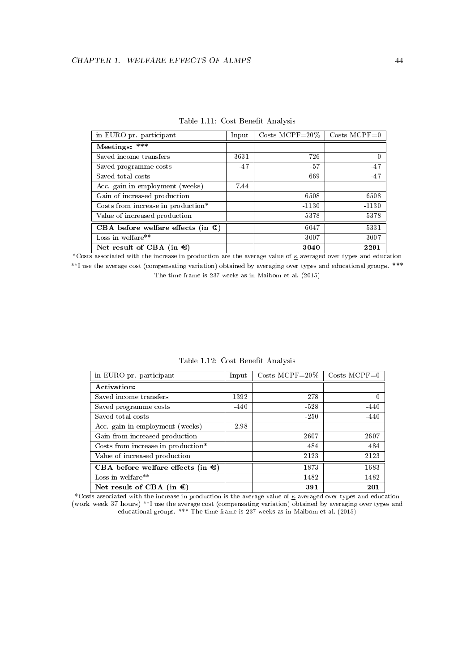| in EURO pr. participant                                                                                                                                                            | Input     | $\text{Costs} \ \text{MCPF} = 20\%$ | $Costs \text{ MCPF=}0$            |
|------------------------------------------------------------------------------------------------------------------------------------------------------------------------------------|-----------|-------------------------------------|-----------------------------------|
| Meetings: ***                                                                                                                                                                      |           |                                     |                                   |
| Saved income transfers                                                                                                                                                             | 3631      | 726                                 | 0                                 |
| Saved programme costs                                                                                                                                                              | $-47$     | -57                                 | $-47$                             |
| Saved total costs                                                                                                                                                                  |           | 669                                 | $-47$                             |
| Acc. gain in employment (weeks)                                                                                                                                                    | 7.44      |                                     |                                   |
| Gain of increased production                                                                                                                                                       |           | 6508                                | 6508                              |
| Costs from increase in production*                                                                                                                                                 |           | $-1130$                             | $-1130$                           |
| Value of increased production                                                                                                                                                      |           | 5378                                | 5378                              |
| CBA before welfare effects (in $\mathbf{\epsilon}$ )                                                                                                                               |           | 6047                                | 5331                              |
| Loss in welfare**                                                                                                                                                                  |           | 3007                                | 3007                              |
| Net result of CBA (in $\epsilon$ )<br>the contract of the contract of the contract of the contract of the contract of the contract of the contract of<br>$\mathbf{1}$ $\mathbf{1}$ | $\sim$ 1. | 3040<br><b>T</b><br>$\epsilon$      | 2291<br>$\mathbf{1}$ $\mathbf{1}$ |

| Table 1.11: Cost Benefit Analysis |  |  |
|-----------------------------------|--|--|
|-----------------------------------|--|--|

\*Costs associated with the increase in production are the average value of  $K$  averaged over types and education \*\*I use the average cost (compensating variation) obtained by averaging over types and educational groups. \*\*\* The time frame is 237 weeks as in Maibom et al. (2015)

| in EURO pr. participant | Input | $\vert$ Costs MCPF=20% $\vert$ Costs MCPF=0 |  |
|-------------------------|-------|---------------------------------------------|--|
| Activation:             |       |                                             |  |

Table 1.12: Cost Benefit Analysis

| Activation:                                 |        |        |        |
|---------------------------------------------|--------|--------|--------|
| Saved income transfers                      | 1392   | 278    | 0      |
| Saved programme costs                       | $-440$ | $-528$ | $-440$ |
| Saved total costs                           |        | $-250$ | $-440$ |
| Acc. gain in employment (weeks)             | 2.98   |        |        |
| Gain from increased production              |        | 2607   | 2607   |
| Costs from increase in production*          |        | 484    | 484    |
| Value of increased production               |        | 2123   | 2123   |
| CBA before welfare effects (in $\epsilon$ ) |        | 1873   | 1683   |
| Loss in welfare**                           |        | 1482   | 1482   |
| Net result of CBA (in $\epsilon$ )          |        | 391    | 201    |

\*Costs associated with the increase in production is the average value of  $\kappa$  averaged over types and education (work week 37 hours) \*\*I use the average cost (compensating variation) obtained by averaging over types and educational groups. \*\*\* The time frame is 237 weeks as in Maibom et al. (2015)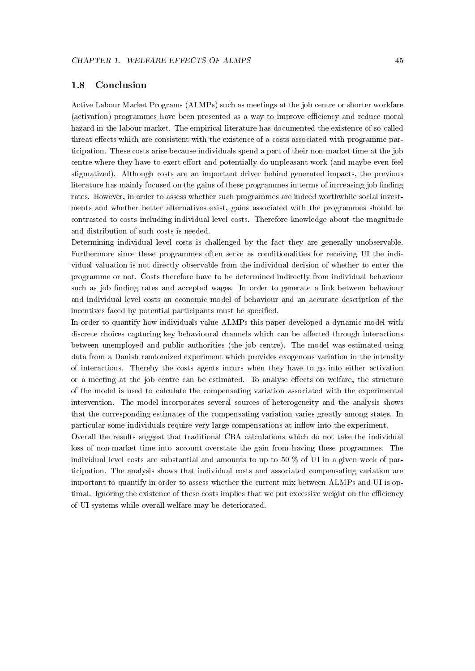# 1.8 Conclusion

Active Labour Market Programs (ALMPs) such as meetings at the job centre or shorter workfare (activation) programmes have been presented as a way to improve efficiency and reduce moral hazard in the labour market. The empirical literature has documented the existence of so-called threat effects which are consistent with the existence of a costs associated with programme participation. These costs arise because individuals spend a part of their non-market time at the job centre where they have to exert effort and potentially do unpleasant work (and maybe even feel stigmatized). Although costs are an important driver behind generated impacts, the previous literature has mainly focused on the gains of these programmes in terms of increasing job finding rates. However, in order to assess whether such programmes are indeed worthwhile social investments and whether better alternatives exist, gains associated with the programmes should be contrasted to costs including individual level costs. Therefore knowledge about the magnitude and distribution of such costs is needed.

Determining individual level costs is challenged by the fact they are generally unobservable. Furthermore since these programmes often serve as conditionalities for receiving UI the individual valuation is not directly observable from the individual decision of whether to enter the programme or not. Costs therefore have to be determined indirectly from individual behaviour such as job finding rates and accepted wages. In order to generate a link between behaviour and individual level costs an economic model of behaviour and an accurate description of the incentives faced by potential participants must be specified.

In order to quantify how individuals value ALMPs this paper developed a dynamic model with discrete choices capturing key behavioural channels which can be affected through interactions between unemployed and public authorities (the job centre). The model was estimated using data from a Danish randomized experiment which provides exogenous variation in the intensity of interactions. Thereby the costs agents incurs when they have to go into either activation or a meeting at the job centre can be estimated. To analyse effects on welfare, the structure of the model is used to calculate the compensating variation associated with the experimental intervention. The model incorporates several sources of heterogeneity and the analysis shows that the corresponding estimates of the compensating variation varies greatly among states. In particular some individuals require very large compensations at inflow into the experiment.

Overall the results suggest that traditional CBA calculations which do not take the individual loss of non-market time into account overstate the gain from having these programmes. The individual level costs are substantial and amounts to up to 50  $\%$  of UI in a given week of participation. The analysis shows that individual costs and associated compensating variation are important to quantify in order to assess whether the current mix between ALMPs and UI is optimal. Ignoring the existence of these costs implies that we put excessive weight on the efficiency of UI systems while overall welfare may be deteriorated.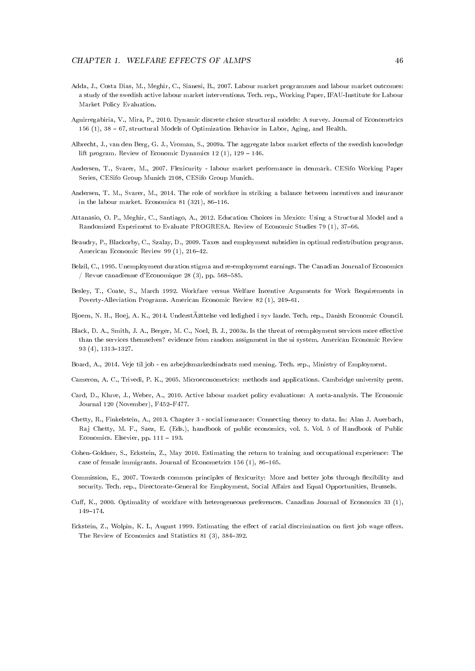- Adda, J., Costa Dias, M., Meghir, C., Sianesi, B., 2007. Labour market programmes and labour market outcomes: a study of the swedish active labour market interventions. Tech. rep., Working Paper, IFAU-Institute for Labour Market Policy Evaluation.
- Aguirregabiria, V., Mira, P., 2010. Dynamic discrete choice structural models: A survey. Journal of Econometrics 156 (1), 38 67, structural Models of Optimization Behavior in Labor, Aging, and Health.
- Albrecht, J., van den Berg, G. J., Vroman, S., 2009a. The aggregate labor market effects of the swedish knowledge lift program. Review of Economic Dynamics  $12$  (1),  $129 - 146$ .
- Andersen, T., Svarer, M., 2007. Flexicurity labour market performance in denmark. CESifo Working Paper Series, CESifo Group Munich 2108, CESifo Group Munich.
- Andersen, T. M., Svarer, M., 2014. The role of workfare in striking a balance between incentives and insurance in the labour market. Economica 81  $(321)$ , 86-116.
- Attanasio, O. P., Meghir, C., Santiago, A., 2012. Education Choices in Mexico: Using a Structural Model and a Randomized Experiment to Evaluate PROGRESA. Review of Economic Studies 79 (1), 3766.
- Beaudry, P., Blackorby, C., Szalay, D., 2009. Taxes and employment subsidies in optimal redistribution programs. American Economic Review 99 (1), 216-42.
- Belzil, C., 1995. Unemployment duration stigma and re-employment earnings. The Canadian Journal of Economics / Revue canadienne d'Economique 28 (3), pp. 568-585.
- Besley, T., Coate, S., March 1992. Workfare versus Welfare Incentive Arguments for Work Requirements in Poverty-Alleviation Programs. American Economic Review 82 (1), 249-61.
- Bjoern, N. H., Hoej, A. K., 2014. Underst Ažttelse ved ledighed i syv lande. Tech. rep., Danish Economic Council.
- Black, D. A., Smith, J. A., Berger, M. C., Noel, B. J., 2003a. Is the threat of reemployment services more effective than the services themselves? evidence from random assignment in the ui system. American Economic Review 93 $(4)$ , 1313-1327.
- Board, A., 2014. Veje til job en arbejdsmarkedsindsats med mening. Tech. rep., Ministry of Employment.
- Cameron, A. C., Trivedi, P. K., 2005. Microeconometrics: methods and applications. Cambridge university press.
- Card, D., Kluve, J., Weber, A., 2010. Active labour market policy evaluations: A meta-analysis. The Economic Journal 120 (November), F452-F477.
- Chetty, R., Finkelstein, A., 2013. Chapter 3 social insurance: Connecting theory to data. In: Alan J. Auerbach, Raj Chetty, M. F., Saez, E. (Eds.), handbook of public economics, vol. 5. Vol. 5 of Handbook of Public Economics. Elsevier, pp. 111 - 193.
- Cohen-Goldner, S., Eckstein, Z., May 2010. Estimating the return to training and occupational experience: The case of female immigrants. Journal of Econometrics  $156$  (1),  $86-105$ .
- Commission, E., 2007. Towards common principles of flexicurity: More and better jobs through flexibility and security. Tech. rep., Directorate-General for Employment, Social Affairs and Equal Opportunities, Brussels.
- Cuff, K., 2000. Optimality of workfare with heterogeneous preferences. Canadian Journal of Economics 33 (1), 149-174.
- Eckstein, Z., Wolpin, K. I., August 1999. Estimating the effect of racial discrimination on first job wage offers. The Review of Economics and Statistics 81  $(3)$ , 384-392.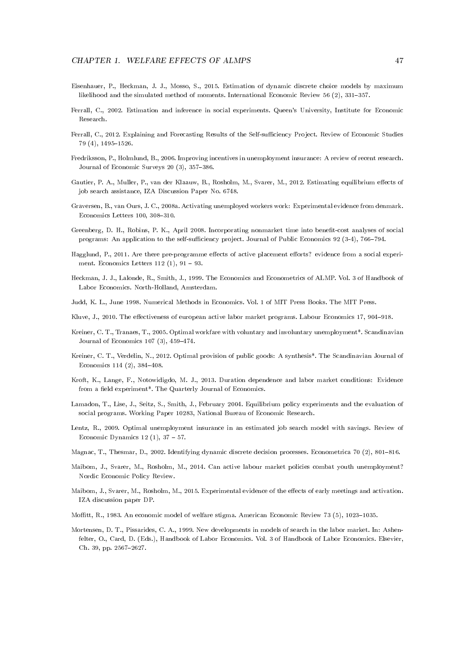- Eisenhauer, P., Heckman, J. J., Mosso, S., 2015. Estimation of dynamic discrete choice models by maximum likelihood and the simulated method of moments. International Economic Review 56  $(2)$ , 331-357.
- Ferrall, C., 2002. Estimation and inference in social experiments. Queen's University, Institute for Economic Research.
- Ferrall, C., 2012. Explaining and Forecasting Results of the Self-sufficiency Project. Review of Economic Studies 79 (4), 1495-1526.
- Fredriksson, P., Holmlund, B., 2006. Improving incentives in unemployment insurance: A review of recent research. Journal of Economic Surveys 20  $(3)$ , 357-386.
- Gautier, P. A., Muller, P., van der Klaauw, B., Rosholm, M., Svarer, M., 2012. Estimating equilibrium effects of job search assistance, IZA Discussion Paper No. 6748.
- Graversen, B., van Ours, J. C., 2008a. Activating unemployed workers work: Experimental evidence from denmark. Economics Letters 100, 308-310.
- Greenberg, D. H., Robins, P. K., April 2008. Incorporating nonmarket time into benefit-cost analyses of social programs: An application to the self-sufficiency project. Journal of Public Economics 92 (3-4), 766-794.
- Hagglund, P., 2011. Are there pre-programme effects of active placement efforts? evidence from a social experiment. Economics Letters  $112$  (1),  $91 - 93$ .
- Heckman, J. J., Lalonde, R., Smith, J., 1999. The Economics and Econometrics of ALMP. Vol. 3 of Handbook of Labor Economics. North-Holland, Amsterdam.
- Judd, K. L., June 1998. Numerical Methods in Economics. Vol. 1 of MIT Press Books. The MIT Press.
- Kluve, J., 2010. The effectiveness of european active labor market programs. Labour Economics 17, 904–918.
- Kreiner, C. T., Tranaes, T., 2005. Optimal workfare with voluntary and involuntary unemployment\*. Scandinavian Journal of Economics 107  $(3)$ , 459-474.
- Kreiner, C. T., Verdelin, N., 2012. Optimal provision of public goods: A synthesis\*. The Scandinavian Journal of Economics 114  $(2)$ , 384-408.
- Kroft, K., Lange, F., Notowidigdo, M. J., 2013. Duration dependence and labor market conditions: Evidence from a field experiment\*. The Quarterly Journal of Economics.
- Lamadon, T., Lise, J., Seitz, S., Smith, J., February 2004. Equilibrium policy experiments and the evaluation of social programs. Working Paper 10283, National Bureau of Economic Research.
- Lentz, R., 2009. Optimal unemployment insurance in an estimated job search model with savings. Review of Economic Dynamics 12 (1),  $37 - 57$ .
- Magnac, T., Thesmar, D., 2002. Identifying dynamic discrete decision processes. Econometrica 70 (2), 801–816.
- Maibom, J., Svarer, M., Rosholm, M., 2014. Can active labour market policies combat youth unemployment? Nordic Economic Policy Review.
- Maibom, J., Svarer, M., Rosholm, M., 2015. Experimental evidence of the effects of early meetings and activation. IZA discussion paper DP.
- Moffitt, R., 1983. An economic model of welfare stigma. American Economic Review 73 (5), 1023-1035.
- Mortensen, D. T., Pissarides, C. A., 1999. New developments in models of search in the labor market. In: Ashenfelter, O., Card, D. (Eds.), Handbook of Labor Economics. Vol. 3 of Handbook of Labor Economics. Elsevier, Ch. 39, pp. 2567-2627.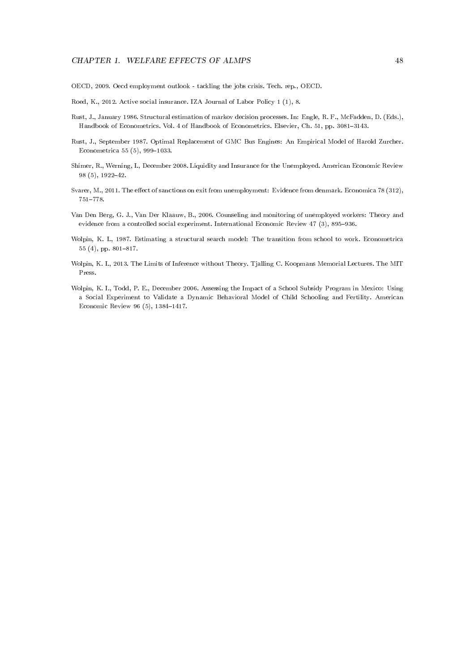OECD, 2009. Oecd employment outlook - tackling the jobs crisis. Tech. rep., OECD.

Roed, K., 2012. Active social insurance. IZA Journal of Labor Policy 1 (1), 8.

- Rust, J., January 1986. Structural estimation of markov decision processes. In: Engle, R. F., McFadden, D. (Eds.), Handbook of Econometrics. Vol. 4 of Handbook of Econometrics. Elsevier, Ch. 51, pp. 3081-3143.
- Rust, J., September 1987. Optimal Replacement of GMC Bus Engines: An Empirical Model of Harold Zurcher. Econometrica 55 (5), 999-1033.
- Shimer, R., Werning, I., December 2008. Liquidity and Insurance for the Unemployed. American Economic Review  $98(5), 1922-42.$
- Svarer, M., 2011. The effect of sanctions on exit from unemployment: Evidence from denmark. Economica 78 (312), 751-778.
- Van Den Berg, G. J., Van Der Klaauw, B., 2006. Counseling and monitoring of unemployed workers: Theory and evidence from a controlled social experiment. International Economic Review 47 (3), 895-936.
- Wolpin, K. I., 1987. Estimating a structural search model: The transition from school to work. Econometrica 55 (4), pp. 801-817.
- Wolpin, K. I., 2013. The Limits of Inference without Theory. Tjalling C. Koopmans Memorial Lectures. The MIT Press.
- Wolpin, K. I., Todd, P. E., December 2006. Assessing the Impact of a School Subsidy Program in Mexico: Using a Social Experiment to Validate a Dynamic Behavioral Model of Child Schooling and Fertility. American Economic Review 96  $(5)$ , 1384-1417.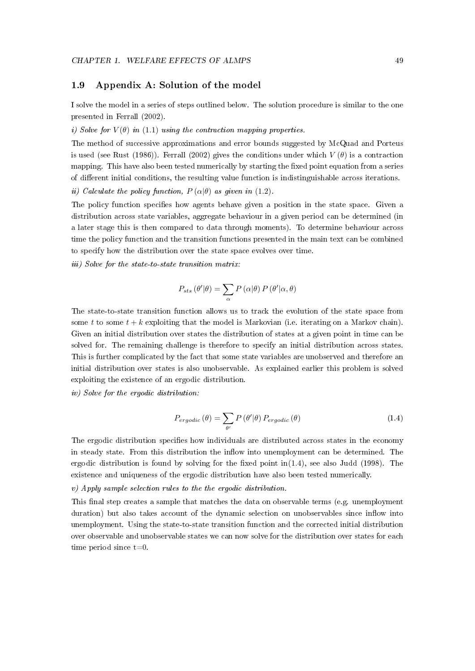# 1.9 Appendix A: Solution of the model

I solve the model in a series of steps outlined below. The solution procedure is similar to the one presented in Ferrall (2002).

i) Solve for  $V(\theta)$  in (1.1) using the contraction mapping properties.

The method of successive approximations and error bounds suggested by McQuad and Porteus is used (see Rust (1986)). Ferrall (2002) gives the conditions under which  $V(\theta)$  is a contraction mapping. This have also been tested numerically by starting the fixed point equation from a series of different initial conditions, the resulting value function is indistinguishable across iterations.

ii) Calculate the policy function,  $P(\alpha|\theta)$  as given in (1.2).

The policy function specifies how agents behave given a position in the state space. Given a distribution across state variables, aggregate behaviour in a given period can be determined (in a later stage this is then compared to data through moments). To determine behaviour across time the policy function and the transition functions presented in the main text can be combined to specify how the distribution over the state space evolves over time.

iii) Solve for the state-to-state transition matrix:

$$
P_{sts}(\theta'|\theta) = \sum_{\alpha} P(\alpha|\theta) P(\theta'|\alpha, \theta)
$$

The state-to-state transition function allows us to track the evolution of the state space from some t to some  $t + k$  exploiting that the model is Markovian (i.e. iterating on a Markov chain). Given an initial distribution over states the distribution of states at a given point in time can be solved for. The remaining challenge is therefore to specify an initial distribution across states. This is further complicated by the fact that some state variables are unobserved and therefore an initial distribution over states is also unobservable. As explained earlier this problem is solved exploiting the existence of an ergodic distribution.

iv) Solve for the ergodic distribution:

$$
P_{ergodic}(\theta) = \sum_{\theta'} P(\theta'|\theta) P_{ergodic}(\theta)
$$
\n(1.4)

The ergodic distribution specifies how individuals are distributed across states in the economy in steady state. From this distribution the inflow into unemployment can be determined. The ergodic distribution is found by solving for the fixed point in $(1.4)$ , see also Judd (1998). The existence and uniqueness of the ergodic distribution have also been tested numerically.

v) Apply sample selection rules to the the ergodic distribution.

This final step creates a sample that matches the data on observable terms (e.g. unemployment duration) but also takes account of the dynamic selection on unobservables since inflow into unemployment. Using the state-to-state transition function and the corrected initial distribution over observable and unobservable states we can now solve for the distribution over states for each time period since  $t=0$ .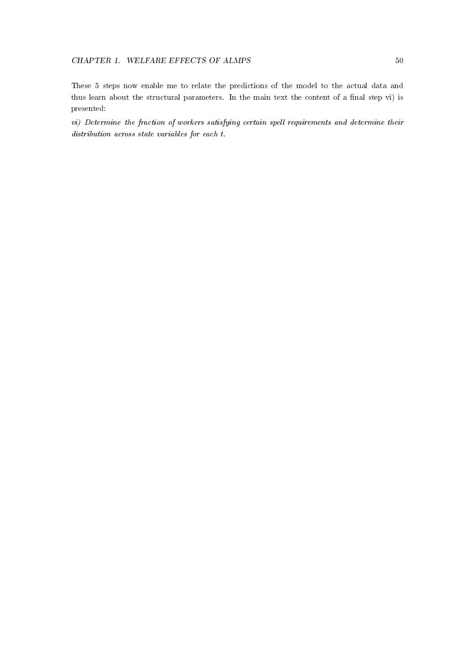These 5 steps now enable me to relate the predictions of the model to the actual data and thus learn about the structural parameters. In the main text the content of a final step vi) is presented:

vi) Determine the fraction of workers satisfying certain spell requirements and determine their distribution across state variables for each t.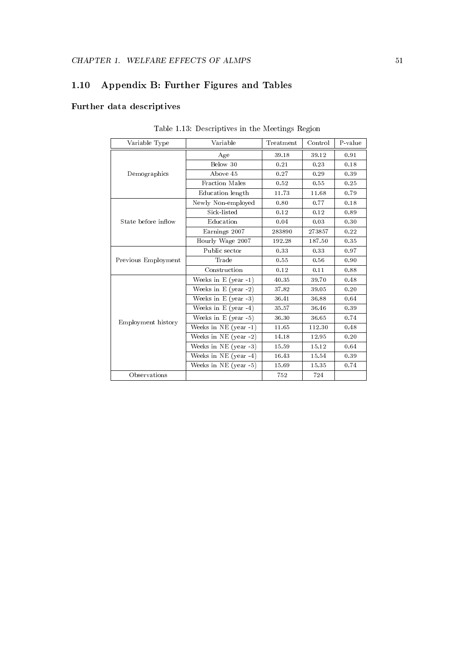# 1.10 Appendix B: Further Figures and Tables

# Further data descriptives

| Variable Type       | Variable                | Treatment | Control | P-value |
|---------------------|-------------------------|-----------|---------|---------|
|                     | Age                     | 39.18     | 39.12   | 0.91    |
|                     | Below 30                | 0.21      | 0.23    | 0.18    |
| Demographics        | Above 45                | 0.27      | 0.29    | 0.39    |
|                     | Fraction Males          | 0.52      | 0.55    | 0.25    |
|                     | Education length        | 11.73     | 11.68   | 0.79    |
|                     | Newly Non-employed      | 0.80      | 0.77    | 0.18    |
|                     | Sick-listed             | 0.12      | 0.12    | 0.89    |
| State before inflow | Education               | 0.04      | 0.03    | 0.30    |
|                     | Earnings 2007           | 283890    | 273857  | 0.22    |
|                     | Hourly Wage 2007        | 192.28    | 187.50  | 0.35    |
|                     | Public sector           | 0.33      | 0.33    | 0.97    |
| Previous Employment | Trade                   | 0.55      | 0.56    | 0.90    |
|                     | Construction            | 0.12      | 0.11    | 0.88    |
|                     | Weeks in $E$ (year -1)  | 40.35     | 39.70   | 0.48    |
|                     | Weeks in $E$ (year -2)  | 37.82     | 39.05   | 0.20    |
|                     | Weeks in $E$ (year -3)  | 36.41     | 36.88   | 0.64    |
|                     | Weeks in $E$ (year -4)  | 35.57     | 36.46   | 0.39    |
| Employment history  | Weeks in $E$ (year -5)  | 36.30     | 36.65   | 0.74    |
|                     | Weeks in $NE$ (year -1) | 11.65     | 112.30  | 0.48    |
|                     | Weeks in $NE$ (year -2) | 14.18     | 12.95   | 0.20    |
|                     | Weeks in $NE$ (year -3) | 15.59     | 15.12   | 0.64    |
|                     | Weeks in $NE$ (year -4) | 16.43     | 15.54   | 0.39    |
|                     | Weeks in $NE$ (year -5) | 15.69     | 15.35   | 0.74    |
| Observations        |                         | 752       | 724     |         |

Table 1.13: Descriptives in the Meetings Region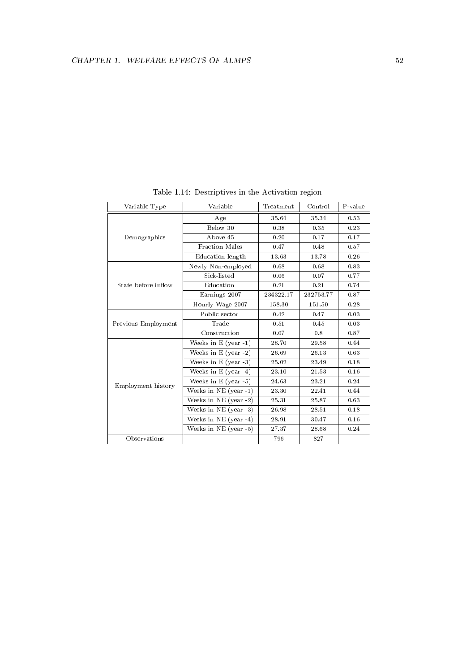| Variable Type       | Variable                | Treatment | Control   | P-value |
|---------------------|-------------------------|-----------|-----------|---------|
|                     |                         |           |           |         |
|                     | Age                     | 35.64     | 35.34     | 0.53    |
|                     | Below 30                | 0.38      | 0.35      | 0.23    |
| Demographics        | Above 45                | 0.20      | 0.17      | 0.17    |
|                     | Fraction Males          | 0.47      | 0.48      | 0.57    |
|                     | Education length        | 13.63     | 13.78     | 0.26    |
|                     | Newly Non-employed      | 0.68      | 0.68      | 0.83    |
|                     | Sick-listed             | 0.06      | 0.07      | 0.77    |
| State before inflow | Education               | 0.21      | 0.21      | 0.74    |
|                     | Earnings 2007           | 234322.17 | 232753.77 | 0.87    |
|                     | Hourly Wage 2007        | 158.30    | 151.50    | 0.28    |
|                     | Public sector           | 0.42      | 0.47      | 0.03    |
| Previous Employment | Trade                   | 0.51      | 0.45      | 0.03    |
|                     | Construction            | 0.07      | 0.8       | 0.87    |
|                     | Weeks in $E$ (year -1)  | 28.70     | 29.58     | 0.44    |
|                     | Weeks in $E$ (year -2)  | 26.69     | 26.13     | 0.63    |
|                     | Weeks in $E$ (year -3)  | 25.02     | 23.49     | 0.18    |
|                     | Weeks in $E$ (year -4)  | 23.10     | 21.53     | 0.16    |
|                     | Weeks in E (year -5)    | 24.63     | 23.21     | 0.24    |
| Employment history  | Weeks in $NE$ (year -1) | 23.30     | 22.41     | 0.44    |
|                     | Weeks in NE (year -2)   | 25.31     | 25.87     | 0.63    |
|                     | Weeks in $NE$ (year -3) | 26.98     | 28.51     | 0.18    |
|                     | Weeks in NE (year -4)   | 28.91     | 30.47     | 0.16    |
|                     | Weeks in $NE$ (year -5) | 27.37     | 28.68     | 0.24    |
| Observations        |                         | 796       | 827       |         |

Table 1.14: Descriptives in the Activation region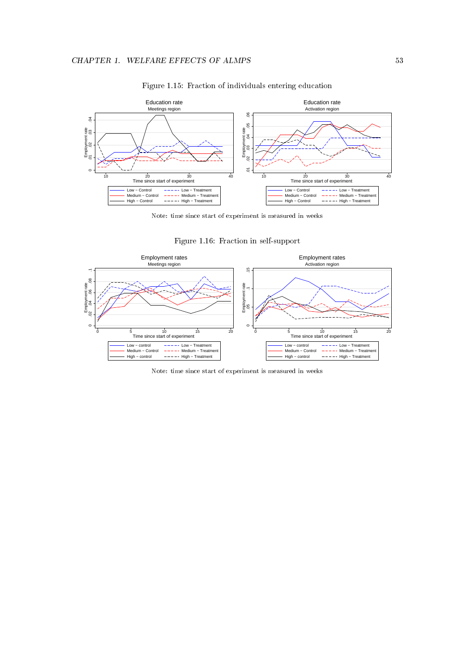

Figure 1.15: Fraction of individuals entering education

Note: time since start of experiment is measured in weeks

Figure 1.16: Fraction in self-support



Note: time since start of experiment is measured in weeks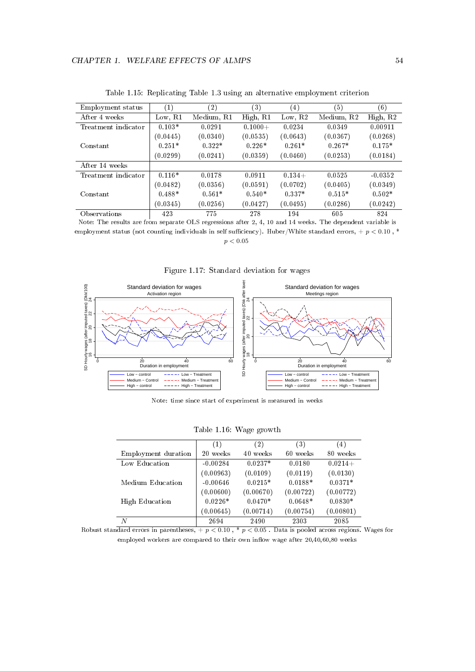| Employment status   | $\left( 1\right)$ | $^{\prime} 2)$ | $^{\prime}3)$ | $^{\prime}4)$ | $\left(5\right)$ | (6)       |
|---------------------|-------------------|----------------|---------------|---------------|------------------|-----------|
| After 4 weeks       | Low, $R1$         | Medium, R1     | High, R1      | Low, $R2$     | Medium, R2       | High, R2  |
| Treatment indicator | $0.103*$          | 0.0291         | $0.1000+$     | 0.0234        | 0.0349           | 0.00911   |
|                     | (0.0445)          | (0.0340)       | (0.0535)      | (0.0643)      | (0.0367)         | (0.0268)  |
| Constant            | $0.251*$          | $0.322*$       | $0.226*$      | $0.261*$      | $0.267*$         | $0.175*$  |
|                     | (0.0299)          | (0.0241)       | (0.0359)      | (0.0460)      | (0.0253)         | (0.0184)  |
| After 14 weeks      |                   |                |               |               |                  |           |
| Treatment indicator | $0.116*$          | 0.0178         | 0.0911        | $0.134+$      | 0.0525           | $-0.0352$ |
|                     | (0.0482)          | (0.0356)       | (0.0591)      | (0.0702)      | (0.0405)         | (0.0349)  |
| Constant            | $0.488*$          | $0.561*$       | $0.540*$      | $0.337*$      | $0.515*$         | $0.502*$  |
|                     | (0.0345)          | (0.0256)       | (0.0427)      | (0.0495)      | (0.0286)         | (0.0242)  |
| Observations        | 423               | 775            | 278           | 194           | 605              | 824       |

Table 1.15: Replicating Table 1.3 using an alternative employment criterion

Note: The results are from separate OLS regressions after 2, 4, 10 and 14 weeks. The dependent variable is employment status (not counting individuals in self sufficiency). Huber/White standard errors,  $+ p < 0.10$ , \*

 $p < 0.05$ 

Figure 1.17: Standard deviation for wages



Note: time since start of experiment is measured in weeks

|                       | (1)        | (2)       | (3)       | (4)       |
|-----------------------|------------|-----------|-----------|-----------|
| Employment duration   | 20 weeks   | 40 weeks  | 60 weeks  | 80 weeks  |
| Low Education         | $-0.00284$ | $0.0237*$ | 0.0180    | $0.0214+$ |
|                       | (0.00963)  | (0.0109)  | (0.0119)  | (0.0130)  |
| Medium Education      | $-0.00646$ | $0.0215*$ | $0.0188*$ | $0.0371*$ |
|                       | (0.00600)  | (0.00670) | (0.00722) | (0.00772) |
| <b>High Education</b> | $0.0226*$  | $0.0470*$ | $0.0648*$ | $0.0830*$ |
|                       | (0.00645)  | (0.00714) | (0.00754) | (0.00801) |
| N                     | 2694       | 2490      | 2303      | 2085      |

Table 1.16: Wage growth

Robust standard errors in parentheses, +  $p < 0.10$ , \*  $p < 0.05$ . Data is pooled across regions. Wages for employed workers are compared to their own inflow wage after  $20,40,60,80$  weeks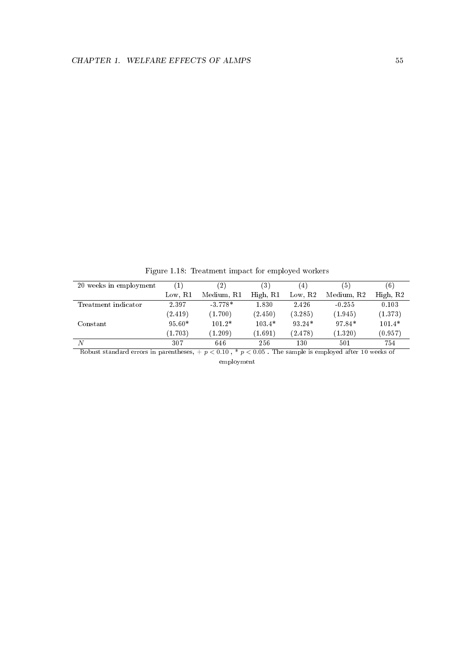Figure 1.18: Treatment impact for employed workers

| 20 weeks in employment | $^{\prime}1^{\prime}$ | (2)        | ΄3΄      | $\left( 4\right)$ | (5)        | (6)      |
|------------------------|-----------------------|------------|----------|-------------------|------------|----------|
|                        | Low, $R1$             | Medium, R1 | High, R1 | Low. $R2$         | Medium, R2 | High, R2 |
| Treatment indicator    | 2.397                 | $-3.778*$  | 1.830    | 2.426             | $-0.255$   | 0.103    |
|                        | (2.419)               | (1.700)    | (2.450)  | (3.285)           | (1.945)    | (1.373)  |
| Constant               | $95.60*$              | $101.2*$   | $103.4*$ | $93.24*$          | 97.84*     | $101.4*$ |
|                        | (1.703)               | (1.209)    | (1.691)  | (2.478)           | (1.320)    | (0.957)  |
|                        | 307                   | 646        | 256      | 130               | 501        | 754      |

Robust standard errors in parentheses,  $+$  p  $<$  0.10,  $*$  p  $<$  0.05. The sample is employed after 10 weeks of employment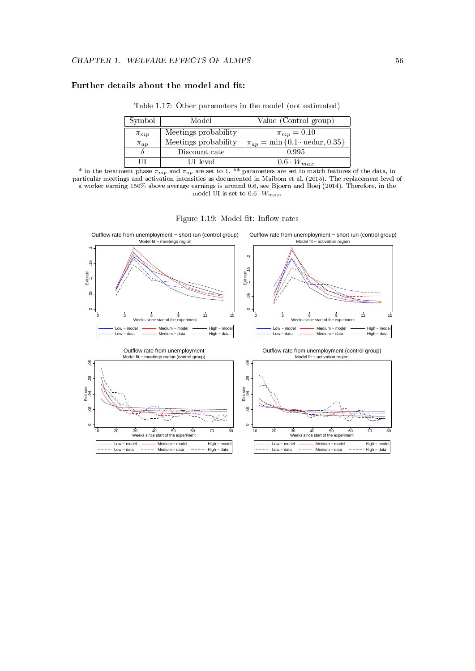# Further details about the model and fit:

| Symbol     | Model                | Value (Control group)                             |
|------------|----------------------|---------------------------------------------------|
| $\pi_{mp}$ | Meetings probability | $\pi_{mp} = 0.10$                                 |
| $\pi_{ap}$ | Meetings probability | $\pi_{ap} = \min\{0.1 \cdot \text{uedur}, 0.35\}$ |
|            | Discount rate        | 0.995                                             |
|            | UI level             | $0.6\cdot W_{max}$                                |

Table 1.17: Other parameters in the model (not estimated)

\* in the treatment phase  $\frac{1}{\pi np}$  and  $\pi_{ap}$  are set to 1. \*\* parameters are set to match features of the data, in particular meetings and activation intensities as documented in Maibom et al. (2015). The replacement level of a worker earning 150% above average earnings is around 0.6, see Bjoern and Hoej (2014). Therefore, in the model UI is set to  $0.6 \cdot W_{max}$ .



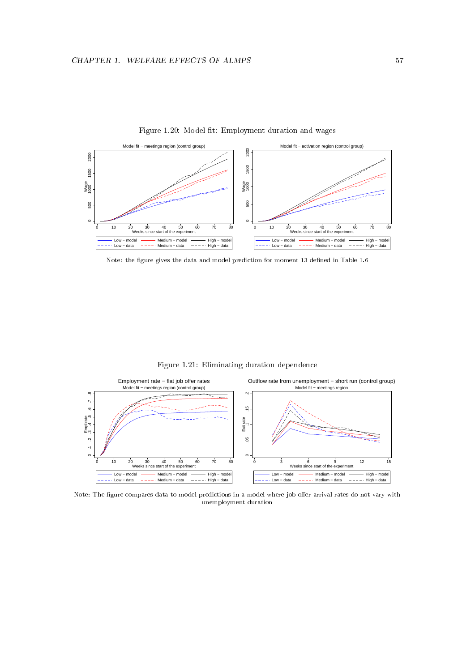

Figure 1.20: Model fit: Employment duration and wages

Note: the figure gives the data and model prediction for moment 13 defined in Table 1.6

Figure 1.21: Eliminating duration dependence



Note: The figure compares data to model predictions in a model where job offer arrival rates do not vary with unemployment duration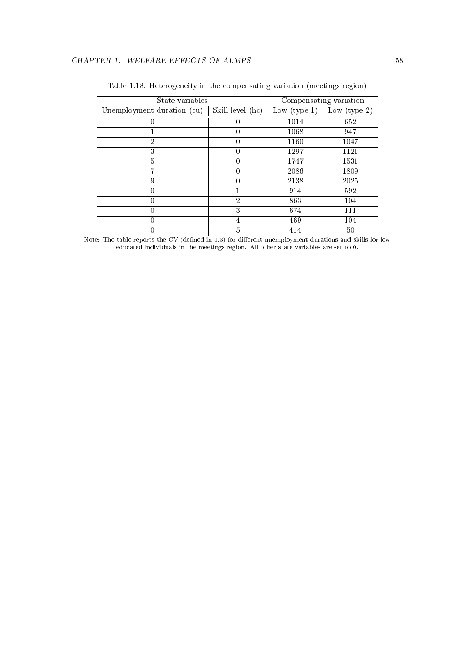| State variables            | Compensating variation |               |                 |
|----------------------------|------------------------|---------------|-----------------|
| Unemployment duration (cu) | Skill level (hc)       | Low $(type1)$ | Low (type $2$ ) |
|                            | 0                      | 1014          | 652             |
|                            | 0                      | 1068          | 947             |
| $\overline{2}$             | $\Omega$               | 1160          | 1047            |
| 3                          | 0                      | 1297          | 1121            |
| 5                          | Ω                      | 1747          | 1531            |
| 7                          | $\Omega$               | 2086          | 1809            |
| 9                          | 0                      | 2138          | 2025            |
|                            |                        | 914           | 592             |
|                            | 2                      | 863           | 104             |
|                            | 3                      | 674           | 111             |
|                            | 4                      | 469           | 104             |
|                            | 5                      | 414           | 50              |

Table 1.18: Heterogeneity in the compensating variation (meetings region)

Note: The table reports the CV (defined in 1.3) for different unemployment durations and skills for low educated individuals in the meetings region. All other state variables are set to 0.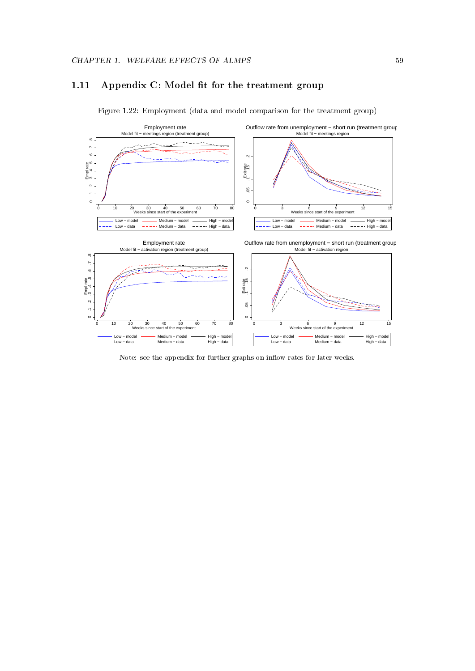# 1.11 Appendix C: Model fit for the treatment group



Figure 1.22: Employment (data and model comparison for the treatment group)

Note: see the appendix for further graphs on inflow rates for later weeks.